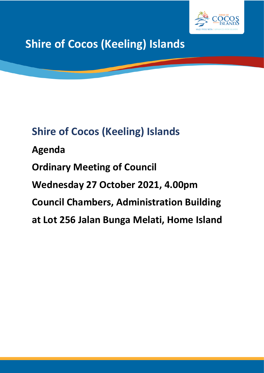

**Shire of Cocos (Keeling) Islands**

# **Shire of Cocos (Keeling) Islands**

**Agenda Ordinary Meeting of Council Wednesday 27 October 2021, 4.00pm Council Chambers, Administration Building at Lot 256 Jalan Bunga Melati, Home Island**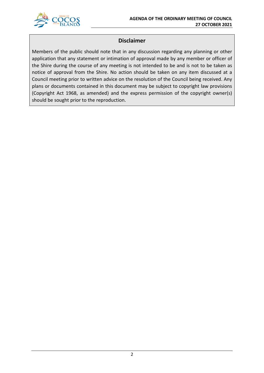

## **Disclaimer**

Members of the public should note that in any discussion regarding any planning or other application that any statement or intimation of approval made by any member or officer of the Shire during the course of any meeting is not intended to be and is not to be taken as notice of approval from the Shire. No action should be taken on any item discussed at a Council meeting prior to written advice on the resolution of the Council being received. Any plans or documents contained in this document may be subject to copyright law provisions (Copyright Act 1968, as amended) and the express permission of the copyright owner(s) should be sought prior to the reproduction.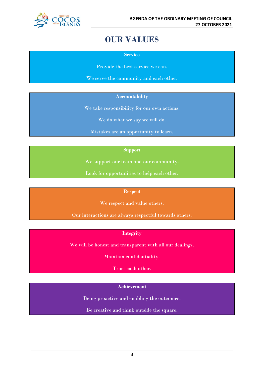

## **OUR VALUES**

**Service**

Provide the best service we can.

We serve the community and each other.

#### **Accountability**

We take responsibility for our own actions.

We do what we say we will do.

Mistakes are an opportunity to learn.

#### **Support**

We support our team and our community.

Look for opportunities to help each other.

#### **Respect**

We respect and value others.

Our interactions are always respectful towards others.

## **Integrity**

We will be honest and transparent with all our dealings.

Maintain confidentiality.

Trust each other.

### **Achievement**

Being proactive and enabling the outcomes.

Be creative and think outside the square.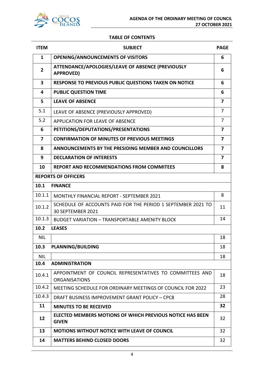

#### **TABLE OF CONTENTS**

| <b>ITEM</b>    | <b>SUBJECT</b>                                                                    | <b>PAGE</b>    |
|----------------|-----------------------------------------------------------------------------------|----------------|
| $\mathbf{1}$   | <b>OPENING/ANNOUNCEMENTS OF VISITORS</b>                                          | 6              |
| $\overline{2}$ | ATTENDANCE/APOLOGIES/LEAVE OF ABSENCE (PREVIOUSLY<br><b>APPROVED)</b>             | 6              |
| 3              | <b>RESPONSE TO PREVIOUS PUBLIC QUESTIONS TAKEN ON NOTICE</b>                      | 6              |
| 4              | <b>PUBLIC QUESTION TIME</b>                                                       | 6              |
| 5              | <b>LEAVE OF ABSENCE</b>                                                           | 7              |
| 5.1            | LEAVE OF ABSENCE (PREVIOUSLY APPROVED)                                            | $\overline{7}$ |
| 5.2            | <b>APPLICATION FOR LEAVE OF ABSENCE</b>                                           | $\overline{7}$ |
| 6              | PETITIONS/DEPUTATIONS/PRESENTATIONS                                               | $\overline{7}$ |
| 7              | <b>CONFIRMATION OF MINUTES OF PREVIOUS MEETINGS</b>                               | 7              |
| 8              | <b>ANNOUNCEMENTS BY THE PRESIDING MEMBER AND COUNCILLORS</b>                      | 7              |
| 9              | <b>DECLARATION OF INTERESTS</b>                                                   | 7              |
| 10             | <b>REPORT AND RECOMMENDATIONS FROM COMMITEES</b>                                  | 8              |
|                | <b>REPORTS OF OFFICERS</b>                                                        |                |
| 10.1           | <b>FINANCE</b>                                                                    |                |
| 10.1.1         | <b>MONTHLY FINANCIAL REPORT - SEPTEMBER 2021</b>                                  | 8              |
| 10.1.2         | SCHEDULE OF ACCOUNTS PAID FOR THE PERIOD 1 SEPTEMBER 2021 TO<br>30 SEPTEMBER 2021 | 11             |
| 10.1.3         | <b>BUDGET VARIATION - TRANSPORTABLE AMENITY BLOCK</b>                             | 14             |
| 10.2           | <b>LEASES</b>                                                                     |                |
| <b>NIL</b>     |                                                                                   | 18             |
| 10.3           | <b>PLANNING/BUILDING</b>                                                          | 18             |
| <b>NIL</b>     |                                                                                   | 18             |
| 10.4           | <b>ADMINISTRATION</b>                                                             |                |
| 10.4.1         | APPOINTMENT OF COUNCIL REPRESENTATIVES TO COMMITTEES AND<br><b>ORGANISATIONS</b>  | 18             |
| 10.4.2         | MEETING SCHEDULE FOR ORDINARY MEETINGS OF COUNCIL FOR 2022                        | 23             |
| 10.4.3         | DRAFT BUSINESS IMPROVEMENT GRANT POLICY - CPC8                                    | 28             |
| 11             | <b>MINUTES TO BE RECEIVED</b>                                                     | 32             |
| 12             | ELECTED MEMBERS MOTIONS OF WHICH PREVIOUS NOTICE HAS BEEN<br><b>GIVEN</b>         | 32             |
| 13             | <b>MOTIONS WITHOUT NOTICE WITH LEAVE OF COUNCIL</b>                               | 32             |
| 14             | <b>MATTERS BEHIND CLOSED DOORS</b>                                                | 32             |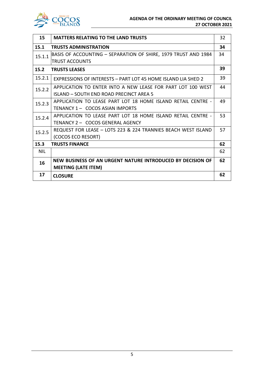

 $\mathsf{l}$ 

| 15         | <b>MATTERS RELATING TO THE LAND TRUSTS</b>                     | 32 |
|------------|----------------------------------------------------------------|----|
| 15.1       | <b>TRUSTS ADMINISTRATION</b>                                   | 34 |
| 15.1.1     | BASIS OF ACCOUNTING – SEPARATION OF SHIRE, 1979 TRUST AND 1984 | 34 |
|            | <b>TRUST ACCOUNTS</b>                                          |    |
| 15.2       | <b>TRUSTS LEASES</b>                                           | 39 |
| 15.2.1     | EXPRESSIONS OF INTERESTS - PART LOT 45 HOME ISLAND LIA SHED 2  | 39 |
| 15.2.2     | APPLICATION TO ENTER INTO A NEW LEASE FOR PART LOT 100 WEST    | 44 |
|            | ISLAND - SOUTH END ROAD PRECINCT AREA 5                        |    |
| 15.2.3     | APPLICATION TO LEASE PART LOT 18 HOME ISLAND RETAIL CENTRE -   | 49 |
|            | TENANCY 1 - COCOS ASIAN IMPORTS                                |    |
| 15.2.4     | APPLICATION TO LEASE PART LOT 18 HOME ISLAND RETAIL CENTRE -   | 53 |
|            | TENANCY 2 - COCOS GENERAL AGENCY                               |    |
| 15.2.5     | REQUEST FOR LEASE - LOTS 223 & 224 TRANNIES BEACH WEST ISLAND  | 57 |
|            | (COCOS ECO RESORT)                                             |    |
| 15.3       | <b>TRUSTS FINANCE</b>                                          | 62 |
| <b>NIL</b> |                                                                | 62 |
| 16         | NEW BUSINESS OF AN URGENT NATURE INTRODUCED BY DECISION OF     | 62 |
|            | <b>MEETING (LATE ITEM)</b>                                     |    |
| 17         | <b>CLOSURE</b>                                                 | 62 |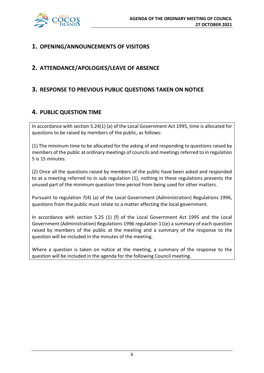

## **1. OPENING/ANNOUNCEMENTS OF VISITORS**

## **2. ATTENDANCE/APOLOGIES/LEAVE OF ABSENCE**

## **3. RESPONSE TO PREVIOUS PUBLIC QUESTIONS TAKEN ON NOTICE**

## **4. PUBLIC QUESTION TIME**

In accordance with section 5.24(1) (a) of the Local Government Act 1995, time is allocated for questions to be raised by members of the public, as follows:

(1) The minimum time to be allocated for the asking of and responding to questions raised by members of the public at ordinary meetings of councils and meetings referred to in regulation 5 is 15 minutes.

(2) Once all the questions raised by members of the public have been asked and responded to at a meeting referred to in sub regulation (1), nothing in these regulations prevents the unused part of the minimum question time period from being used for other matters.

Pursuant to regulation 7(4) (a) of the Local Government (Administration) Regulations 1996, questions from the public must relate to a matter affecting the local government.

In accordance with section 5.25 (1) (f) of the Local Government Act 1995 and the Local Government (Administration) Regulations 1996 regulation 11(e) a summary of each question raised by members of the public at the meeting and a summary of the response to the question will be included in the minutes of the meeting.

Where a question is taken on notice at the meeting, a summary of the response to the question will be included in the agenda for the following Council meeting.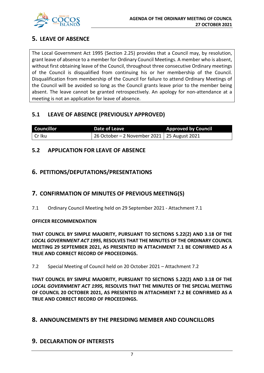

## **5. LEAVE OF ABSENCE**

The Local Government Act 1995 (Section 2.25) provides that a Council may, by resolution, grant leave of absence to a member for Ordinary Council Meetings. A member who is absent, without first obtaining leave of the Council, throughout three consecutive Ordinary meetings of the Council is disqualified from continuing his or her membership of the Council. Disqualification from membership of the Council for failure to attend Ordinary Meetings of the Council will be avoided so long as the Council grants leave prior to the member being absent. The leave cannot be granted retrospectively. An apology for non-attendance at a meeting is not an application for leave of absence.

## **5.1 LEAVE OF ABSENCE (PREVIOUSLY APPROVED)**

| <b>Councillor</b> | Date of Leave                                 | <b>Approved by Council</b> |
|-------------------|-----------------------------------------------|----------------------------|
| l Cr Iku          | 26 October – 2 November 2021   25 August 2021 |                            |

## **5.2 APPLICATION FOR LEAVE OF ABSENCE**

## **6. PETITIONS/DEPUTATIONS/PRESENTATIONS**

## **7. CONFIRMATION OF MINUTES OF PREVIOUS MEETING(S)**

7.1 Ordinary Council Meeting held on 29 September 2021 - Attachment 7.1

## **OFFICER RECOMMENDATION**

**THAT COUNCIL BY SIMPLE MAJORITY, PURSUANT TO SECTIONS 5.22(2) AND 3.18 OF THE**  *LOCAL GOVERNMENT ACT 1995,* **RESOLVES THAT THE MINUTES OF THE ORDINARY COUNCIL MEETING 29 SEPTEMBER 2021, AS PRESENTED IN ATTACHMENT 7.1 BE CONFIRMED AS A TRUE AND CORRECT RECORD OF PROCEEDINGS.**

7.2 Special Meeting of Council held on 20 October 2021 – Attachment 7.2

**THAT COUNCIL BY SIMPLE MAJORITY, PURSUANT TO SECTIONS 5.22(2) AND 3.18 OF THE** *LOCAL GOVERNMENT ACT 1995,* **RESOLVES THAT THE MINUTES OF THE SPECIAL MEETING OF COUNCIL 20 OCTOBER 2021, AS PRESENTED IN ATTACHMENT 7.2 BE CONFIRMED AS A TRUE AND CORRECT RECORD OF PROCEEDINGS.**

## **8. ANNOUNCEMENTS BY THE PRESIDING MEMBER AND COUNCILLORS**

## **9. DECLARATION OF INTERESTS**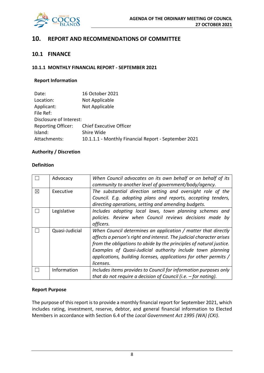

## **10. REPORT AND RECOMMENDATIONS OF COMMITTEE**

## **10.1 FINANCE**

#### **10.1.1 MONTHLY FINANCIAL REPORT - SEPTEMBER 2021**

#### **Report Information**

| 16 October 2021                                      |
|------------------------------------------------------|
| Not Applicable                                       |
| Not Applicable                                       |
|                                                      |
| Disclosure of Interest:                              |
| <b>Chief Executive Officer</b>                       |
| Shire Wide                                           |
| 10.1.1.1 - Monthly Financial Report - September 2021 |
|                                                      |

#### **Authority / Discretion**

#### **Definition**

|   | Advocacy       | When Council advocates on its own behalf or on behalf of its<br>community to another level of government/body/agency.                                                                                                                                                                                                                                        |
|---|----------------|--------------------------------------------------------------------------------------------------------------------------------------------------------------------------------------------------------------------------------------------------------------------------------------------------------------------------------------------------------------|
| X | Executive      | The substantial direction setting and oversight role of the<br>Council. E.g. adopting plans and reports, accepting tenders,<br>directing operations, setting and amending budgets.                                                                                                                                                                           |
|   | Legislative    | Includes adopting local laws, town planning schemes and<br>policies. Review when Council reviews decisions made by<br>officers.                                                                                                                                                                                                                              |
|   | Quasi-Judicial | When Council determines an application / matter that directly<br>affects a person's right and interest. The judicial character arises<br>from the obligations to abide by the principles of natural justice.<br>Examples of Quasi-Judicial authority include town planning<br>applications, building licenses, applications for other permits /<br>licenses. |
|   | Information    | Includes items provides to Council for information purposes only<br>that do not require a decision of Council (i.e. $-$ for noting).                                                                                                                                                                                                                         |

#### **Report Purpose**

The purpose of this report is to provide a monthly financial report for September 2021, which includes rating, investment, reserve, debtor, and general financial information to Elected Members in accordance with Section 6.4 of the *Local Government Act 1995 (WA) (CKI)*.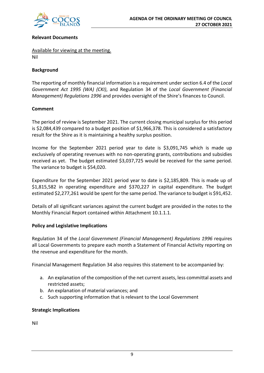

#### **Relevant Documents**

Available for viewing at the meeting. Nil

#### **Background**

The reporting of monthly financial information is a requirement under section 6.4 of the *Local Government Act 1995 (WA) (CKI)*, and Regulation 34 of the *Local Government (Financial Management) Regulations 1996* and provides oversight of the Shire's finances to Council.

#### **Comment**

The period of review is September 2021. The current closing municipal surplus for this period is \$2,084,439 compared to a budget position of \$1,966,378. This is considered a satisfactory result for the Shire as it is maintaining a healthy surplus position.

Income for the September 2021 period year to date is \$3,091,745 which is made up exclusively of operating revenues with no non-operating grants, contributions and subsidies received as yet. The budget estimated \$3,037,725 would be received for the same period. The variance to budget is \$54,020.

Expenditure for the September 2021 period year to date is \$2,185,809. This is made up of \$1,815,582 in operating expenditure and \$370,227 in capital expenditure. The budget estimated \$2,277,261 would be spent for the same period. The variance to budget is \$91,452.

Details of all significant variances against the current budget are provided in the notes to the Monthly Financial Report contained within Attachment 10.1.1.1.

#### **Policy and Legislative Implications**

Regulation 34 of the *Local Government (Financial Management) Regulations 1996* requires all Local Governments to prepare each month a Statement of Financial Activity reporting on the revenue and expenditure for the month.

Financial Management Regulation 34 also requires this statement to be accompanied by:

- a. An explanation of the composition of the net current assets, less committal assets and restricted assets;
- b. An explanation of material variances; and
- c. Such supporting information that is relevant to the Local Government

#### **Strategic Implications**

Nil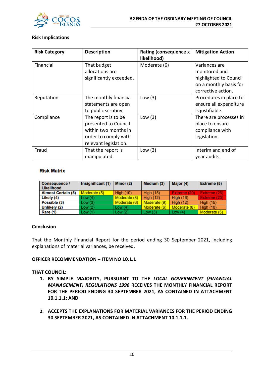

#### **Risk Implications**

| <b>Risk Category</b> | <b>Description</b>      | <b>Rating (consequence x</b><br>likelihood) | <b>Mitigation Action</b> |
|----------------------|-------------------------|---------------------------------------------|--------------------------|
| Financial            | That budget             | Moderate (6)                                | Variances are            |
|                      | allocations are         |                                             | monitored and            |
|                      | significantly exceeded. |                                             | highlighted to Council   |
|                      |                         |                                             | on a monthly basis for   |
|                      |                         |                                             | corrective action.       |
| Reputation           | The monthly financial   | Low $(3)$                                   | Procedures in place to   |
|                      | statements are open     |                                             | ensure all expenditure   |
|                      | to public scrutiny.     |                                             | is justifiable.          |
| Compliance           | The report is to be     | Low $(3)$                                   | There are processes in   |
|                      | presented to Council    |                                             | place to ensure          |
|                      | within two months in    |                                             | compliance with          |
|                      | order to comply with    |                                             | legislation.             |
|                      | relevant legislation.   |                                             |                          |
| Fraud                | That the report is      | Low $(3)$                                   | Interim and end of       |
|                      | manipulated.            |                                             | year audits.             |

#### **Risk Matrix**

| <b>Consequence /</b><br>Likelihood | Insignificant (1) | Minor (2)    | Medium (3)       | Major (4)        | Extreme (5)      |
|------------------------------------|-------------------|--------------|------------------|------------------|------------------|
| <b>Almost Certain (5)</b>          | Moderate (5)      | High $(10)$  | <b>High (15)</b> | Extreme (20)     | Extreme (25)     |
| Likely (4)                         | Low(4)            | Moderate (8) | <b>High (12)</b> | <b>High (16)</b> | Extreme (20)     |
| Possible (3)                       | Low(3)            | Moderate (6) | Moderate (9)     | <b>High (12)</b> | <b>High (15)</b> |
| Unlikely (2)                       | Low(2)            | Low $(4)$    | Moderate (6)     | Moderate (8)     | <b>High (10)</b> |
| Rare (1)                           | Low(1)            | Low $(2)$    | Low $(3)$        | Low $(4)$        | Moderate (5)     |

#### **Conclusion**

That the Monthly Financial Report for the period ending 30 September 2021, including explanations of material variances, be received.

#### **OFFICER RECOMMENDATION – ITEM NO 10.1.1**

#### **THAT COUNCIL:**

- **1. BY SIMPLE MAJORITY, PURSUANT TO THE** *LOCAL GOVERNMENT (FINANCIAL MANAGEMENT) REGULATIONS 1996* **RECEIVES THE MONTHLY FINANCIAL REPORT FOR THE PERIOD ENDING 30 SEPTEMBER 2021, AS CONTAINED IN ATTACHMENT 10.1.1.1; AND**
- **2. ACCEPTS THE EXPLANATIONS FOR MATERIAL VARIANCES FOR THE PERIOD ENDING 30 SEPTEMBER 2021, AS CONTAINED IN ATTACHMENT 10.1.1.1.**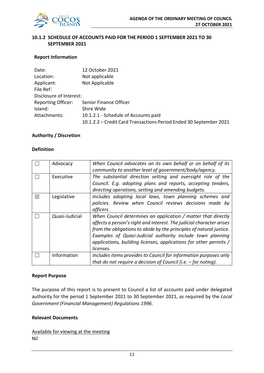

### **10.1.2 SCHEDULE OF ACCOUNTS PAID FOR THE PERIOD 1 SEPTEMBER 2021 TO 30 SEPTEMBER 2021**

#### **Report Information**

| Date:                     | 12 October 2021                                                    |
|---------------------------|--------------------------------------------------------------------|
| Location:                 | Not applicable                                                     |
| Applicant:                | Not Applicable                                                     |
| File Ref:                 |                                                                    |
| Disclosure of Interest:   |                                                                    |
| <b>Reporting Officer:</b> | Senior Finance Officer                                             |
| Island:                   | Shire Wide                                                         |
| Attachments:              | 10.1.2.1 - Schedule of Accounts paid                               |
|                           | 10.1.2.2 - Credit Card Transactions Period Ended 30 September 2021 |

#### **Authority / Discretion**

#### **Definition**

|   | Advocacy       | When Council advocates on its own behalf or on behalf of its<br>community to another level of government/body/agency.                                                                                                                                                                                                                                        |
|---|----------------|--------------------------------------------------------------------------------------------------------------------------------------------------------------------------------------------------------------------------------------------------------------------------------------------------------------------------------------------------------------|
|   | Executive      | The substantial direction setting and oversight role of the<br>Council. E.g. adopting plans and reports, accepting tenders,<br>directing operations, setting and amending budgets.                                                                                                                                                                           |
| ⊠ | Legislative    | Includes adopting local laws, town planning schemes and<br>policies. Review when Council reviews decisions made by<br>officers.                                                                                                                                                                                                                              |
|   | Quasi-Judicial | When Council determines an application / matter that directly<br>affects a person's right and interest. The judicial character arises<br>from the obligations to abide by the principles of natural justice.<br>Examples of Quasi-Judicial authority include town planning<br>applications, building licenses, applications for other permits /<br>licenses. |
|   | Information    | Includes items provides to Council for information purposes only<br>that do not require a decision of Council (i.e. $-$ for noting).                                                                                                                                                                                                                         |

#### **Report Purpose**

The purpose of this report is to present to Council a list of accounts paid under delegated authority for the period 1 September 2021 to 30 September 2021, as required by the *Local Government (Financial Management) Regulations 1996*.

#### **Relevant Documents**

Available for viewing at the meeting Nil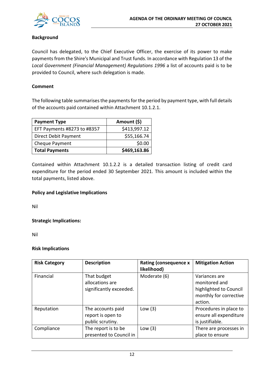

## **Background**

Council has delegated, to the Chief Executive Officer, the exercise of its power to make payments from the Shire's Municipal and Trust funds. In accordance with Regulation 13 of the *Local Government (Financial Management) Regulations 1996* a list of accounts paid is to be provided to Council, where such delegation is made.

#### **Comment**

The following table summarises the payments for the period by payment type, with full details of the accounts paid contained within Attachment 10.1.2.1.

| <b>Payment Type</b>         | Amount (\$)  |
|-----------------------------|--------------|
| EFT Payments #8273 to #8357 | \$413,997.12 |
| Direct Debit Payment        | \$55,166.74  |
| Cheque Payment              | \$0.00       |
| <b>Total Payments</b>       | \$469,163.86 |

Contained within Attachment 10.1.2.2 is a detailed transaction listing of credit card expenditure for the period ended 30 September 2021. This amount is included within the total payments, listed above.

## **Policy and Legislative Implications**

Nil

**Strategic Implications:**

Nil

#### **Risk Implications**

| <b>Risk Category</b> | <b>Description</b>                                         | <b>Rating (consequence x</b><br>likelihood) | <b>Mitigation Action</b>                                                                      |
|----------------------|------------------------------------------------------------|---------------------------------------------|-----------------------------------------------------------------------------------------------|
| Financial            | That budget<br>allocations are<br>significantly exceeded.  | Moderate (6)                                | Variances are<br>monitored and<br>highlighted to Council<br>monthly for corrective<br>action. |
| Reputation           | The accounts paid<br>report is open to<br>public scrutiny. | Low $(3)$                                   | Procedures in place to<br>ensure all expenditure<br>is justifiable.                           |
| Compliance           | The report is to be<br>presented to Council in             | Low $(3)$                                   | There are processes in<br>place to ensure                                                     |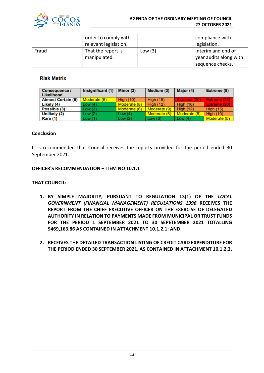

|       | order to comply with<br>relevant legislation. |           | compliance with<br>legislation.                                  |
|-------|-----------------------------------------------|-----------|------------------------------------------------------------------|
| Fraud | That the report is<br>manipulated.            | Low $(3)$ | Interim and end of<br>year audits along with<br>sequence checks. |

#### **Risk Matrix**

| Consequence /<br>Likelihood | Insignificant (1) | Minor (2)        | Medium (3)       | Major (4)        | Extreme (5)      |
|-----------------------------|-------------------|------------------|------------------|------------------|------------------|
| <b>Almost Certain (5)</b>   | Moderate (5)      | <b>High (10)</b> | <b>High (15)</b> | Extreme (20)     | Extreme (25)     |
| Likely (4)                  | Low(4)            | Moderate (8)     | <b>High (12)</b> | <b>High (16)</b> | Extreme (20)     |
| Possible (3)                | Low(3)            | Moderate (6)     | Moderate (9)     | <b>High (12)</b> | <b>High (15)</b> |
| Unlikely (2)                | Low(2)            | Low $(4)$        | Moderate (6)     | Moderate (8)     | <b>High (10)</b> |
| Rare (1)                    | Low(1)            | Low(2)           | Low(3)           | Low $(4)$        | Moderate (5)     |

#### **Conclusion**

It is recommended that Council receives the reports provided for the period ended 30 September 2021.

#### **OFFICER'S RECOMMENDATION – ITEM NO 10.1.1**

#### **THAT COUNCIL:**

- **1. BY SIMPLE MAJORITY, PURSUANT TO REGULATION 13(1) OF THE** *LOCAL GOVERNMENT (FINANCIAL MANAGEMENT) REGULATIONS 1996* **RECEIVES THE REPORT FROM THE CHIEF EXECUTIVE OFFICER ON THE EXERCISE OF DELEGATED AUTHORITY IN RELATION TO PAYMENTS MADE FROM MUNICIPAL OR TRUST FUNDS FOR THE PERIOD 1 SEPTEMBER 2021 TO 30 SEPETEMBER 2021 TOTALLING \$469,163.86 AS CONTAINED IN ATTACHMENT 10.1.2.1; AND**
- **2. RECEIVES THE DETAILED TRANSACTION LISTING OF CREDIT CARD EXPENDITURE FOR THE PERIOD ENDED 30 SEPTEMBER 2021, AS CONTAINED IN ATTACHMENT 10.1.2.2.**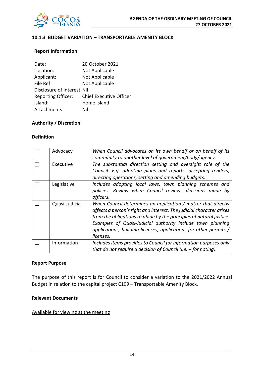

## **10.1.3 BUDGET VARIATION – TRANSPORTABLE AMENITY BLOCK**

#### **Report Information**

| 20 October 2021                |
|--------------------------------|
| Not Applicable                 |
| Not Applicable                 |
| Not Applicable                 |
| Disclosure of Interest: Nil    |
| <b>Chief Executive Officer</b> |
| Home Island                    |
| Nil                            |
|                                |

## **Authority / Discretion**

#### **Definition**

|   | Advocacy       | When Council advocates on its own behalf or on behalf of its<br>community to another level of government/body/agency.                                                                                                                                                                                                                                        |
|---|----------------|--------------------------------------------------------------------------------------------------------------------------------------------------------------------------------------------------------------------------------------------------------------------------------------------------------------------------------------------------------------|
| ⊠ | Executive      | The substantial direction setting and oversight role of the<br>Council. E.g. adopting plans and reports, accepting tenders,<br>directing operations, setting and amending budgets.                                                                                                                                                                           |
|   | Legislative    | Includes adopting local laws, town planning schemes and<br>policies. Review when Council reviews decisions made by<br>officers.                                                                                                                                                                                                                              |
|   | Quasi-Judicial | When Council determines an application / matter that directly<br>affects a person's right and interest. The judicial character arises<br>from the obligations to abide by the principles of natural justice.<br>Examples of Quasi-Judicial authority include town planning<br>applications, building licenses, applications for other permits /<br>licenses. |
|   | Information    | Includes items provides to Council for information purposes only<br>that do not require a decision of Council (i.e. $-$ for noting).                                                                                                                                                                                                                         |

#### **Report Purpose**

The purpose of this report is for Council to consider a variation to the 2021/2022 Annual Budget in relation to the capital project C199 – Transportable Amenity Block.

## **Relevant Documents**

#### Available for viewing at the meeting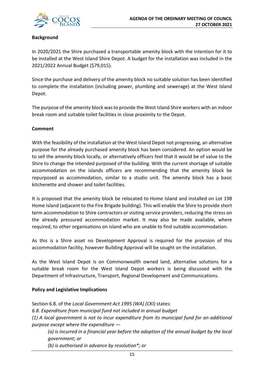

## **Background**

In 2020/2021 the Shire purchased a transportable amenity block with the intention for it to be installed at the West Island Shire Depot. A budget for the installation was included in the 2021/2022 Annual Budget (\$79,015).

Since the purchase and delivery of the amenity block no suitable solution has been identified to complete the installation (including power, plumbing and sewerage) at the West Island Depot.

The purpose of the amenity block was to provide the West Island Shire workers with an indoor break room and suitable toilet facilities in close proximity to the Depot.

#### **Comment**

With the feasibility of the installation at the West Island Depot not progressing, an alternative purpose for the already purchased amenity block has been considered. An option would be to sell the amenity block locally, or alternatively officers feel that it would be of value to the Shire to change the intended purposed of the building. With the current shortage of suitable accommodation on the islands officers are recommending that the amenity block be repurposed as accommodation, similar to a studio unit. The amenity block has a basic kitchenette and shower and toilet facilities.

It is proposed that the amenity block be relocated to Home Island and installed on Lot 198 Home Island (adjacent to the Fire Brigade building). This will enable the Shire to provide short term accommodation to Shire contractors or visiting service providers, reducing the stress on the already pressured accommodation market. It may also be made available, where required, to other organisations on island who are unable to find suitable accommodation.

As this is a Shire asset no Development Approval is required for the provision of this accommodation facility, however Building Approval will be sought on the installation.

As the West Island Depot is on Commonwealth owned land, alternative solutions for a suitable break room for the West Island Depot workers is being discussed with the Department of Infrastructure, Transport, Regional Development and Communications.

## **Policy and Legislative Implications**

Section 6.8. of the *Local Government Act 1995 (WA) (CKI)* states: *6.8. Expenditure from municipal fund not included in annual budget (1) A local government is not to incur expenditure from its municipal fund for an additional purpose except where the expenditure —*

*(a) is incurred in a financial year before the adoption of the annual budget by the local government; or*

*(b) is authorised in advance by resolution\*; or*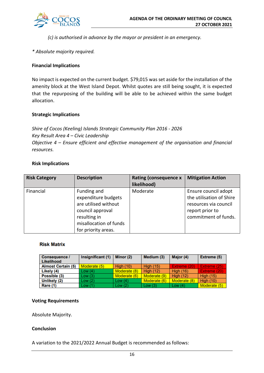

*(c) is authorised in advance by the mayor or president in an emergency.* 

#### *\* Absolute majority required.*

#### **Financial Implications**

No impact is expected on the current budget. \$79,015 was set aside for the installation of the amenity block at the West Island Depot. Whilst quotes are still being sought, it is expected that the repurposing of the building will be able to be achieved within the same budget allocation.

#### **Strategic Implications**

*Shire of Cocos (Keeling) Islands Strategic Community Plan 2016 - 2026 Key Result Area 4 – Civic Leadership Objective 4 – Ensure efficient and effective management of the organisation and financial resources.*

#### **Risk Implications**

| <b>Risk Category</b> | <b>Description</b>                                                                                                                              | <b>Rating (consequence x</b><br>likelihood) | <b>Mitigation Action</b>                                                                                             |
|----------------------|-------------------------------------------------------------------------------------------------------------------------------------------------|---------------------------------------------|----------------------------------------------------------------------------------------------------------------------|
| Financial            | Funding and<br>expenditure budgets<br>are utilised without<br>council approval<br>resulting in<br>misallocation of funds<br>for priority areas. | Moderate                                    | Ensure council adopt<br>the utilisation of Shire<br>resources via council<br>report prior to<br>commitment of funds. |

#### **Risk Matrix**

| <b>Consequence /</b><br>Likelihood | Insignificant (1) | Minor (2)        | Medium (3)       | Major (4)        | Extreme (5)      |
|------------------------------------|-------------------|------------------|------------------|------------------|------------------|
| <b>Almost Certain (5)</b>          | Moderate (5)      | <b>High (10)</b> | <b>High (15)</b> | Extreme (20)     | Extreme (25)     |
| Likely (4)                         | Low(4)            | Moderate (8)     | <b>High (12)</b> | <b>High (16)</b> | Extreme (20)     |
| Possible (3)                       | Low(3)            | Moderate (6)     | Moderate (9)     | <b>High (12)</b> | <b>High (15)</b> |
| Unlikely (2)                       | Low(2)            | Low $(4)$        | Moderate (6)     | Moderate (8)     | <b>High (10)</b> |
| Rare (1)                           | Low(1)            | Low $(2)$        | Low $(3)$        | Low $(4)$        | Moderate (5)     |

#### **Voting Requirements**

Absolute Majority.

#### **Conclusion**

A variation to the 2021/2022 Annual Budget is recommended as follows: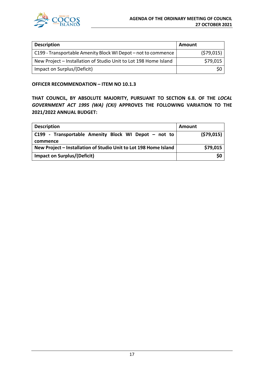

| <b>Description</b>                                               | Amount     |
|------------------------------------------------------------------|------------|
| C199 - Transportable Amenity Block WI Depot – not to commence    | (579, 015) |
| New Project - Installation of Studio Unit to Lot 198 Home Island | \$79,015   |
| Impact on Surplus/(Deficit)                                      |            |

#### **OFFICER RECOMMENDATION – ITEM NO 10.1.3**

**THAT COUNCIL, BY ABSOLUTE MAJORITY, PURSUANT TO SECTION 6.8. OF THE** *LOCAL GOVERNMENT ACT 1995 (WA) (CKI)* **APPROVES THE FOLLOWING VARIATION TO THE 2021/2022 ANNUAL BUDGET:**

| <b>Description</b>                                               | Amount     |
|------------------------------------------------------------------|------------|
| C199 - Transportable Amenity Block WI Depot – not to             | (579, 015) |
| commence                                                         |            |
| New Project - Installation of Studio Unit to Lot 198 Home Island | \$79,015   |
| <b>Impact on Surplus/(Deficit)</b>                               | \$0        |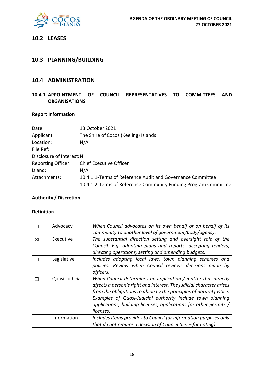

## **10.2 LEASES**

## **10.3 PLANNING/BUILDING**

## **10.4 ADMINISTRATION**

## **10.4.1 APPOINTMENT OF COUNCIL REPRESENTATIVES TO COMMITTEES AND ORGANISATIONS**

#### **Report Information**

| Date:                       | 13 October 2021                                                 |
|-----------------------------|-----------------------------------------------------------------|
| Applicant:                  | The Shire of Cocos (Keeling) Islands                            |
| Location:                   | N/A                                                             |
| File Ref:                   |                                                                 |
| Disclosure of Interest: Nil |                                                                 |
| <b>Reporting Officer:</b>   | <b>Chief Executive Officer</b>                                  |
| Island:                     | N/A                                                             |
| Attachments:                | 10.4.1.1-Terms of Reference Audit and Governance Committee      |
|                             | 10.4.1.2-Terms of Reference Community Funding Program Committee |

#### **Authority / Discretion**

#### **Definition**

|   | Advocacy       | When Council advocates on its own behalf or on behalf of its         |
|---|----------------|----------------------------------------------------------------------|
|   |                | community to another level of government/body/agency.                |
| 区 | Executive      | The substantial direction setting and oversight role of the          |
|   |                | Council. E.g. adopting plans and reports, accepting tenders,         |
|   |                | directing operations, setting and amending budgets.                  |
|   | Legislative    | Includes adopting local laws, town planning schemes and              |
|   |                | policies. Review when Council reviews decisions made by              |
|   |                | officers.                                                            |
|   | Quasi-Judicial | When Council determines an application / matter that directly        |
|   |                | affects a person's right and interest. The judicial character arises |
|   |                | from the obligations to abide by the principles of natural justice.  |
|   |                | Examples of Quasi-Judicial authority include town planning           |
|   |                | applications, building licenses, applications for other permits /    |
|   |                | licenses.                                                            |
|   | Information    | Includes items provides to Council for information purposes only     |
|   |                | that do not require a decision of Council (i.e. $-$ for noting).     |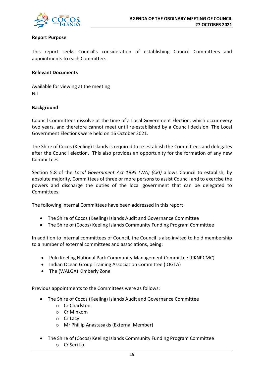

#### **Report Purpose**

This report seeks Council's consideration of establishing Council Committees and appointments to each Committee.

#### **Relevant Documents**

Available for viewing at the meeting Nil

#### **Background**

Council Committees dissolve at the time of a Local Government Election, which occur every two years, and therefore cannot meet until re-established by a Council decision. The Local Government Elections were held on 16 October 2021.

The Shire of Cocos (Keeling) Islands is required to re-establish the Committees and delegates after the Council election. This also provides an opportunity for the formation of any new **Committees** 

Section 5.8 of the *Local Government Act 1995 (WA) (CKI)* allows Council to establish, by absolute majority, Committees of three or more persons to assist Council and to exercise the powers and discharge the duties of the local government that can be delegated to Committees.

The following internal Committees have been addressed in this report:

- The Shire of Cocos (Keeling) Islands Audit and Governance Committee
- The Shire of (Cocos) Keeling Islands Community Funding Program Committee

In addition to internal committees of Council, the Council is also invited to hold membership to a number of external committees and associations, being:

- Pulu Keeling National Park Community Management Committee (PKNPCMC)
- Indian Ocean Group Training Association Committee (IOGTA)
- The (WALGA) Kimberly Zone

Previous appointments to the Committees were as follows:

- The Shire of Cocos (Keeling) Islands Audit and Governance Committee
	- o Cr Charlston
	- o Cr Minkom
	- o Cr Lacy
	- o Mr Phillip Anastasakis (External Member)
- The Shire of (Cocos) Keeling Islands Community Funding Program Committee o Cr Seri Iku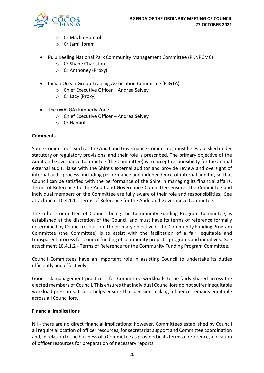

- o Cr Mazlin Hamiril
- o Cr Jamil Ibram
- Pulu Keeling National Park Community Management Committee (PKNPCMC)
	- o Cr Shane Charlston
	- o Cr Anthoney (Proxy)
- Indian Ocean Group Training Association Committee (IOGTA)
	- o Chief Executive Officer Andrea Selvey
	- o Cr Lacy (Proxy)
- The (WALGA) Kimberly Zone
	- o Chief Executive Officer Andrea Selvey
	- o Cr Hamiril

#### **Comments**

Some Committees, such as the Audit and Governance Committee, must be established under statutory or regulatory provisions, and their role is prescribed. The primary objective of the Audit and Governance Committee (the Committee) is to accept responsibility for the annual external audit, liaise with the Shire's external auditor and provide review and oversight of internal audit process, including performance and independence of internal auditor, so that Council can be satisfied with the performance of the Shire in managing its financial affairs. Terms of Reference for the Audit and Governance Committee ensures the Committee and individual members on the Committee are fully aware of their role and responsibilities. See attachment 10.4.1.1 - Terms of Reference for the Audit and Governance Committee.

The other Committee of Council, being the Community Funding Program Committee, is established at the discretion of the Council and must have its terms of reference formally determined by Council resolution. The primary objective of the Community Funding Program Committee (the Committee) is to assist with the facilitation of a fair, equitable and transparent process for Council funding of community projects, programs and initiatives. See attachment 10.4.1.2 - Terms of Reference for the Community Funding Program Committee.

Council Committees have an important role in assisting Council to undertake its duties efficiently and effectively.

Good risk management practice is for Committee workloads to be fairly shared across the elected members of Council. This ensures that individual Councillors do not suffer inequitable workload pressures. It also helps ensure that decision-making influence remains equitable across all Councillors.

#### **Financial Implications**

Nil - there are no direct financial implications; however, Committees established by Council all require allocation of officer resources, for secretariat support and Committee coordination and, in relation to the business of a Committee as provided in its terms of reference, allocation of officer resources for preparation of necessary reports.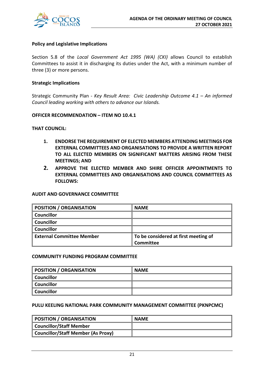

#### **Policy and Legislative Implications**

Section 5.8 of the *Local Government Act 1995 (WA) (CKI)* allows Council to establish Committees to assist it in discharging its duties under the Act, with a minimum number of three (3) or more persons.

#### **Strategic Implications**

Strategic Community Plan - *Key Result Area: Civic Leadership Outcome 4.1 – An informed Council leading working with others to advance our Islands.*

#### **OFFICER RECOMMENDATION – ITEM NO 10.4.1**

#### **THAT COUNCIL:**

- **1. ENDORSE THE REQUIREMENT OF ELECTED MEMBERS ATTENDING MEETINGS FOR EXTERNAL COMMITTEES AND ORGANISATIONS TO PROVIDE A WRITTEN REPORT TO ALL ELECTED MEMBERS ON SIGNIFICANT MATTERS ARISING FROM THESE MEETINGS; AND**
- **2. APPROVE THE ELECTED MEMBER AND SHIRE OFFICER APPOINTMENTS TO EXTERNAL COMMITTEES AND ORGANISATIONS AND COUNCIL COMMITTEES AS FOLLOWS:**

#### **AUDIT AND GOVERNANCE COMMITTEE**

| <b>POSITION / ORGANISATION</b>   | <b>NAME</b>                          |
|----------------------------------|--------------------------------------|
| <b>Councillor</b>                |                                      |
| <b>Councillor</b>                |                                      |
| Councillor                       |                                      |
| <b>External Committee Member</b> | To be considered at first meeting of |
|                                  | Committee                            |

#### **COMMUNITY FUNDING PROGRAM COMMITTEE**

| <b>POSITION / ORGANISATION</b> | <b>NAME</b> |
|--------------------------------|-------------|
| <b>Councillor</b>              |             |
| <b>Councillor</b>              |             |
| <b>Councillor</b>              |             |

#### **PULU KEELING NATIONAL PARK COMMUNITY MANAGEMENT COMMITTEE (PKNPCMC)**

| POSITION / ORGANISATION                   | <b>NAME</b> |
|-------------------------------------------|-------------|
| <b>Councillor/Staff Member</b>            |             |
| <b>Councillor/Staff Member (As Proxy)</b> |             |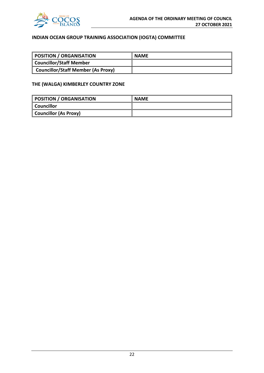

## **INDIAN OCEAN GROUP TRAINING ASSOCIATION (IOGTA) COMMITTEE**

| POSITION / ORGANISATION                   | <b>NAME</b> |
|-------------------------------------------|-------------|
| Councillor/Staff Member                   |             |
| <b>Councillor/Staff Member (As Proxy)</b> |             |

#### **THE (WALGA) KIMBERLEY COUNTRY ZONE**

| <b>POSITION / ORGANISATION</b> | <b>NAME</b> |
|--------------------------------|-------------|
| Councillor                     |             |
| <b>Councillor (As Proxy)</b>   |             |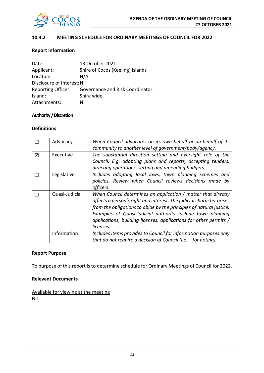

#### **10.4.2 MEETING SCHEDULE FOR ORDINARY MEETINGS OF COUNCIL FOR 2022**

#### **Report Information**

| Date:                       | 13 October 2021                        |
|-----------------------------|----------------------------------------|
| Applicant:                  | Shire of Cocos (Keeling) Islands       |
| Location:                   | N/A                                    |
| Disclosure of Interest: Nil |                                        |
| <b>Reporting Officer:</b>   | <b>Governance and Risk Coordinator</b> |
| Island:                     | Shire wide                             |
| Attachments:                | Nil                                    |

#### **Authority / Discretion**

#### **Definitions**

|   | Advocacy       | When Council advocates on its own behalf or on behalf of its<br>community to another level of government/body/agency.                                                                                                                                                                                                                                        |
|---|----------------|--------------------------------------------------------------------------------------------------------------------------------------------------------------------------------------------------------------------------------------------------------------------------------------------------------------------------------------------------------------|
| 区 | Executive      | The substantial direction setting and oversight role of the<br>Council. E.g. adopting plans and reports, accepting tenders,<br>directing operations, setting and amending budgets.                                                                                                                                                                           |
|   | Legislative    | Includes adopting local laws, town planning schemes and<br>policies. Review when Council reviews decisions made by<br>officers.                                                                                                                                                                                                                              |
|   | Quasi-Judicial | When Council determines an application / matter that directly<br>affects a person's right and interest. The judicial character arises<br>from the obligations to abide by the principles of natural justice.<br>Examples of Quasi-Judicial authority include town planning<br>applications, building licenses, applications for other permits /<br>licenses. |
|   | Information    | Includes items provides to Council for information purposes only<br>that do not require a decision of Council (i.e. $-$ for noting).                                                                                                                                                                                                                         |

#### **Report Purpose**

To purpose of this report is to determine schedule for Ordinary Meetings of Council for 2022.

#### **Relevant Documents**

Available for viewing at the meeting Nil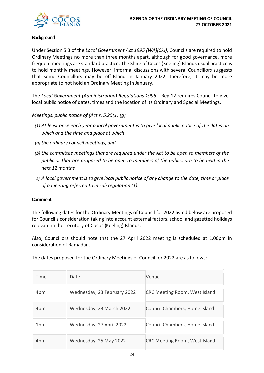#### **Background**

Under Section 5.3 of the *Local Government Act 1995 (WA)(CKI)*, Councils are required to hold Ordinary Meetings no more than three months apart, although for good governance, more frequent meetings are standard practice. The Shire of Cocos (Keeling) Islands usual practice is to hold monthly meetings. However, informal discussions with several Councillors suggests that some Councillors may be off-Island in January 2022, therefore, it may be more appropriate to not hold an Ordinary Meeting in January.

The *Local Government (Administration) Regulations 1996* – Reg 12 requires Council to give local public notice of dates, times and the location of its Ordinary and Special Meetings.

*Meetings, public notice of (Act s. 5.25(1) (g)*

- *(1) At least once each year a local government is to give local public notice of the dates on which and the time and place at which*
- *(a) the ordinary council meetings; and*
- *(b) the committee meetings that are required under the Act to be open to members of the public or that are proposed to be open to members of the public, are to be held in the next 12 months*
- *2) A local government is to give local public notice of any change to the date, time or place of a meeting referred to in sub regulation (1).*

#### **Comment**

The following dates for the Ordinary Meetings of Council for 2022 listed below are proposed for Council's consideration taking into account external factors, school and gazetted holidays relevant in the Territory of Cocos (Keeling) Islands.

Also, Councillors should note that the 27 April 2022 meeting is scheduled at 1.00pm in consideration of Ramadan.

The dates proposed for the Ordinary Meetings of Council for 2022 are as follows:

| Time | Date                        | Venue                                |
|------|-----------------------------|--------------------------------------|
| 4pm  | Wednesday, 23 February 2022 | <b>CRC Meeting Room, West Island</b> |
| 4pm  | Wednesday, 23 March 2022    | Council Chambers, Home Island        |
| 1pm  | Wednesday, 27 April 2022    | Council Chambers, Home Island        |
| 4pm  | Wednesday, 25 May 2022      | <b>CRC Meeting Room, West Island</b> |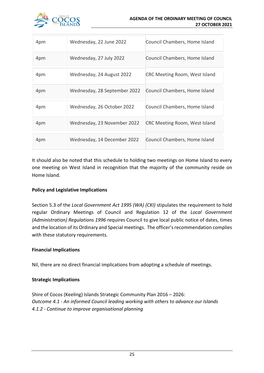

| 4pm | Wednesday, 22 June 2022      | Council Chambers, Home Island        |
|-----|------------------------------|--------------------------------------|
| 4pm | Wednesday, 27 July 2022      | Council Chambers, Home Island        |
| 4pm | Wednesday, 24 August 2022    | <b>CRC Meeting Room, West Island</b> |
| 4pm | Wednesday, 28 September 2022 | Council Chambers, Home Island        |
| 4pm | Wednesday, 26 October 2022   | Council Chambers, Home Island        |
| 4pm | Wednesday, 23 November 2022  | <b>CRC Meeting Room, West Island</b> |
| 4pm | Wednesday, 14 December 2022  | Council Chambers, Home Island        |

It should also be noted that this schedule to holding two meetings on Home Island to every one meeting on West Island in recognition that the majority of the community reside on Home Island.

## **Policy and Legislative Implications**

Section 5.3 of the *Local Government Act 1995 (WA) (CKI)* stipulates the requirement to hold regular Ordinary Meetings of Council and Regulation 12 of the *Local Government (Administration) Regulations 1996* requires Council to give local public notice of dates, times and the location of its Ordinary and Special meetings. The officer's recommendation complies with these statutory requirements.

#### **Financial Implications**

Nil, there are no direct financial implications from adopting a schedule of meetings.

## **Strategic Implications**

Shire of Cocos (Keeling) Islands Strategic Community Plan 2016 – 2026: *Outcome 4.1 - An informed Council leading working with others to advance our Islands 4.1.2 - Continue to improve organisational planning*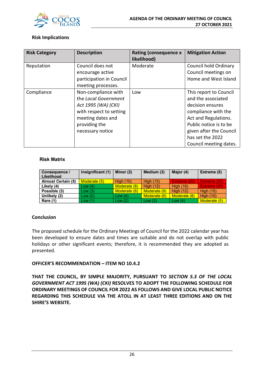

#### **Risk Implications**

| <b>Risk Category</b> | <b>Description</b>       | <b>Rating (consequence x</b> | <b>Mitigation Action</b> |
|----------------------|--------------------------|------------------------------|--------------------------|
|                      |                          | likelihood)                  |                          |
| Reputation           | Council does not         | Moderate                     | Council hold Ordinary    |
|                      | encourage active         |                              | Council meetings on      |
|                      | participation in Council |                              | Home and West Island     |
|                      | meeting processes.       |                              |                          |
| Compliance           | Non-compliance with      | Low                          | This report to Council   |
|                      | the Local Government     |                              | and the associated       |
|                      | Act 1995 (WA) (CKI)      |                              | decision ensures         |
|                      | with respect to setting  |                              | compliance with the      |
|                      | meeting dates and        |                              | Act and Regulations.     |
|                      | providing the            |                              | Public notice is to be   |
|                      | necessary notice         |                              | given after the Council  |
|                      |                          |                              | has set the 2022         |
|                      |                          |                              | Council meeting dates.   |

#### **Risk Matrix**

| <b>Consequence /</b><br>Likelihood | Insignificant (1) | Minor (2)        | Medium (3)       | Major (4)        | Extreme (5)      |
|------------------------------------|-------------------|------------------|------------------|------------------|------------------|
| <b>Almost Certain (5)</b>          | Moderate (5)      | <b>High (10)</b> | <b>High (15)</b> | Extreme (20)     | Extreme (25)     |
| Likely (4)                         | Low(4)            | Moderate (8)     | <b>High (12)</b> | <b>High (16)</b> | Extreme (20)     |
| Possible (3)                       | Low(3)            | Moderate (6)     | Moderate (9)     | <b>High (12)</b> | <b>High (15)</b> |
| Unlikely (2)                       | Low(2)            | Low $(4)$        | Moderate (6)     | Moderate (8)     | <b>High (10)</b> |
| Rare (1)                           | Low(1)            | Low(2)           | Low(3)           | Low $(4)$        | Moderate (5)     |

## **Conclusion**

The proposed schedule for the Ordinary Meetings of Council for the 2022 calendar year has been developed to ensure dates and times are suitable and do not overlap with public holidays or other significant events; therefore, it is recommended they are adopted as presented.

#### **OFFICER'S RECOMMENDATION – ITEM NO 10.4.2**

**THAT THE COUNCIL, BY SIMPLE MAJORITY, PURSUANT TO** *SECTION 5.3 OF THE LOCAL GOVERNMENT ACT 1995 (WA) (CKI)* **RESOLVES TO ADOPT THE FOLLOWING SCHEDULE FOR ORDINARY MEETINGS OF COUNCIL FOR 2022 AS FOLLOWS AND GIVE LOCAL PUBLIC NOTICE REGARDING THIS SCHEDULE VIA THE ATOLL IN AT LEAST THREE EDITIONS AND ON THE SHIRE'S WEBSITE.**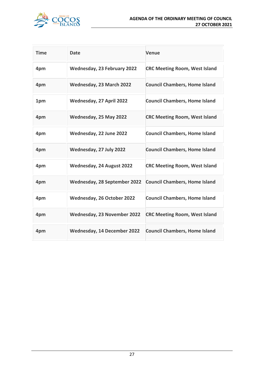

| <b>Time</b> | <b>Date</b>                      | <b>Venue</b>                         |
|-------------|----------------------------------|--------------------------------------|
| 4pm         | Wednesday, 23 February 2022      | <b>CRC Meeting Room, West Island</b> |
| 4pm         | Wednesday, 23 March 2022         | <b>Council Chambers, Home Island</b> |
| 1pm         | Wednesday, 27 April 2022         | <b>Council Chambers, Home Island</b> |
| 4pm         | Wednesday, 25 May 2022           | <b>CRC Meeting Room, West Island</b> |
| 4pm         | Wednesday, 22 June 2022          | <b>Council Chambers, Home Island</b> |
| 4pm         | Wednesday, 27 July 2022          | <b>Council Chambers, Home Island</b> |
| 4pm         | <b>Wednesday, 24 August 2022</b> | <b>CRC Meeting Room, West Island</b> |
| 4pm         | Wednesday, 28 September 2022     | <b>Council Chambers, Home Island</b> |
| 4pm         | Wednesday, 26 October 2022       | <b>Council Chambers, Home Island</b> |
| 4pm         | Wednesday, 23 November 2022      | <b>CRC Meeting Room, West Island</b> |
| 4pm         | Wednesday, 14 December 2022      | <b>Council Chambers, Home Island</b> |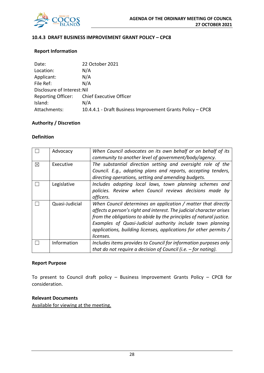

#### **10.4.3 DRAFT BUSINESS IMPROVEMENT GRANT POLICY – CPC8**

#### **Report Information**

| Date:                       | 22 October 2021                                            |
|-----------------------------|------------------------------------------------------------|
| Location:                   | N/A                                                        |
| Applicant:                  | N/A                                                        |
| File Ref:                   | N/A                                                        |
| Disclosure of Interest: Nil |                                                            |
| <b>Reporting Officer:</b>   | Chief Executive Officer                                    |
| Island:                     | N/A                                                        |
| Attachments:                | 10.4.4.1 - Draft Business Improvement Grants Policy - CPC8 |

## **Authority / Discretion**

#### **Definition**

|   | Advocacy       | When Council advocates on its own behalf or on behalf of its<br>community to another level of government/body/agency.                                                                                                                                                                                                                                        |
|---|----------------|--------------------------------------------------------------------------------------------------------------------------------------------------------------------------------------------------------------------------------------------------------------------------------------------------------------------------------------------------------------|
| ⊠ | Executive      | The substantial direction setting and oversight role of the<br>Council. E.g., adopting plans and reports, accepting tenders,<br>directing operations, setting and amending budgets.                                                                                                                                                                          |
|   | Legislative    | Includes adopting local laws, town planning schemes and<br>policies. Review when Council reviews decisions made by<br>officers.                                                                                                                                                                                                                              |
|   | Quasi-Judicial | When Council determines an application / matter that directly<br>affects a person's right and interest. The judicial character arises<br>from the obligations to abide by the principles of natural justice.<br>Examples of Quasi-Judicial authority include town planning<br>applications, building licenses, applications for other permits /<br>licenses. |
|   | Information    | Includes items provides to Council for information purposes only<br>that do not require a decision of Council (i.e. $-$ for noting).                                                                                                                                                                                                                         |

#### **Report Purpose**

To present to Council draft policy – Business Improvement Grants Policy – CPC8 for consideration.

### **Relevant Documents**

Available for viewing at the meeting.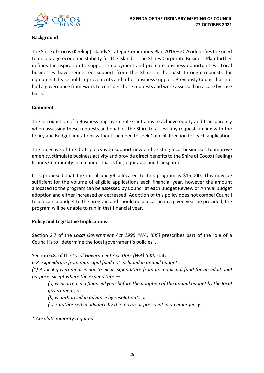

## **Background**

The Shire of Cocos (Keeling) Islands Strategic Community Plan 2016 – 2026 identifies the need to encourage economic stability for the Islands. The Shires Corporate Business Plan further defines the aspiration to support employment and promote business opportunities. Local businesses have requested support from the Shire in the past through requests for equipment, lease hold improvements and other business support. Previously Council has not had a governance framework to consider these requests and were assessed on a case by case basis.

## **Comment**

The introduction of a Business Improvement Grant aims to achieve equity and transparency when assessing these requests and enables the Shire to assess any requests in line with the Policy and Budget limitations without the need to seek Council direction for each application.

The objective of the draft policy is to support new and existing local businesses to improve amenity, stimulate business activity and provide direct benefits to the Shire of Cocos (Keeling) Islands Community in a manner that is fair, equitable and transparent.

It is proposed that the initial budget allocated to this program is \$15,000. This may be sufficient for the volume of eligible applications each financial year, however the amount allocated to the program can be assessed by Council at each Budget Review or Annual Budget adoption and either increased or decreased. Adoption of this policy does not compel Council to allocate a budget to the program and should no allocation in a given year be provided, the program will be unable to run in that financial year.

#### **Policy and Legislative Implications**

Section 2.7 of the *Local Government Act 1995 (WA) (CKI)* prescribes part of the role of a Council is to "determine the local government's policies".

Section 6.8. of the *Local Government Act 1995 (WA) (CKI)* states:

*6.8. Expenditure from municipal fund not included in annual budget*

*(1) A local government is not to incur expenditure from its municipal fund for an additional purpose except where the expenditure —*

*(a) is incurred in a financial year before the adoption of the annual budget by the local government; or*

*(b) is authorised in advance by resolution\*; or* 

*(c) is authorised in advance by the mayor or president in an emergency.* 

*\* Absolute majority required.*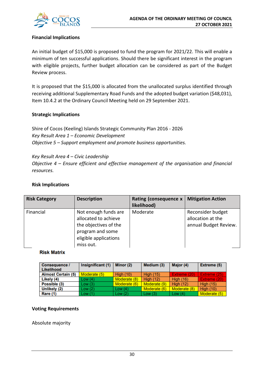

#### **Financial Implications**

An initial budget of \$15,000 is proposed to fund the program for 2021/22. This will enable a minimum of ten successful applications. Should there be significant interest in the program with eligible projects, further budget allocation can be considered as part of the Budget Review process.

It is proposed that the \$15,000 is allocated from the unallocated surplus identified through receiving additional Supplementary Road Funds and the adopted budget variation (\$48,031), Item 10.4.2 at the Ordinary Council Meeting held on 29 September 2021.

#### **Strategic Implications**

Shire of Cocos (Keeling) Islands Strategic Community Plan 2016 - 2026 *Key Result Area 1 – Economic Development Objective 5 – Support employment and promote business opportunities.*

*Key Result Area 4 – Civic Leadership Objective 4 – Ensure efficient and effective management of the organisation and financial resources.*

#### **Risk Implications**

| <b>Risk Category</b> | <b>Description</b>                                                                                                              | Rating (consequence x<br>likelihood) | <b>Mitigation Action</b>                                        |
|----------------------|---------------------------------------------------------------------------------------------------------------------------------|--------------------------------------|-----------------------------------------------------------------|
| Financial            | Not enough funds are<br>allocated to achieve<br>the objectives of the<br>program and some<br>eligible applications<br>miss out. | Moderate                             | Reconsider budget<br>allocation at the<br>annual Budget Review. |

#### **Risk Matrix**

| <b>Consequence /</b><br>Likelihood | Insignificant (1) | Minor (2)        | Medium (3)       | Major (4)        | Extreme (5)      |
|------------------------------------|-------------------|------------------|------------------|------------------|------------------|
| <b>Almost Certain (5)</b>          | Moderate (5)      | <b>High (10)</b> | <b>High (15)</b> | Extreme (20)     | Extreme (25)     |
| Likely (4)                         | Low $(4)$         | Moderate (8)     | <b>High (12)</b> | <b>High (16)</b> | Extreme (20)     |
| Possible (3)                       | Low(3)            | Moderate (6)     | Moderate (9)     | <b>High (12)</b> | <b>High (15)</b> |
| Unlikely (2)                       | Low(2)            | Low $(4)$        | Moderate (6)     | Moderate (8)     | <b>High (10)</b> |
| <b>Rare (1)</b>                    | Low (1)           | Low $(2)$        | Low(3)           | Low $(4)$        | Moderate (5)     |

#### **Voting Requirements**

Absolute majority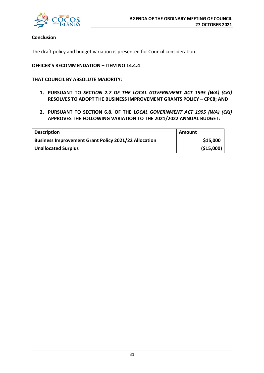

#### **Conclusion**

The draft policy and budget variation is presented for Council consideration.

#### **OFFICER'S RECOMMENDATION – ITEM NO 14.4.4**

**THAT COUNCIL BY ABSOLUTE MAJORITY:**

- **1. PURSUANT TO** *SECTION 2.7 OF THE LOCAL GOVERNMENT ACT 1995 (WA) (CKI)* **RESOLVES TO ADOPT THE BUSINESS IMPROVEMENT GRANTS POLICY – CPC8; AND**
- **2. PURSUANT TO SECTION 6.8. OF THE** *LOCAL GOVERNMENT ACT 1995 (WA) (CKI)* **APPROVES THE FOLLOWING VARIATION TO THE 2021/2022 ANNUAL BUDGET:**

| <b>Description</b>                                          | Amount      |
|-------------------------------------------------------------|-------------|
| <b>Business Improvement Grant Policy 2021/22 Allocation</b> | \$15,000    |
| <b>Unallocated Surplus</b>                                  | ( \$15,000) |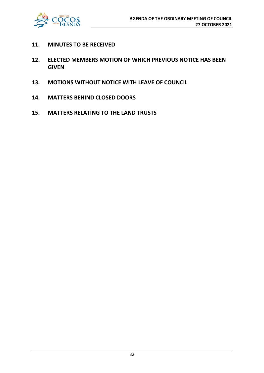

- **11. MINUTES TO BE RECEIVED**
- **12. ELECTED MEMBERS MOTION OF WHICH PREVIOUS NOTICE HAS BEEN GIVEN**
- **13. MOTIONS WITHOUT NOTICE WITH LEAVE OF COUNCIL**
- **14. MATTERS BEHIND CLOSED DOORS**
- **15. MATTERS RELATING TO THE LAND TRUSTS**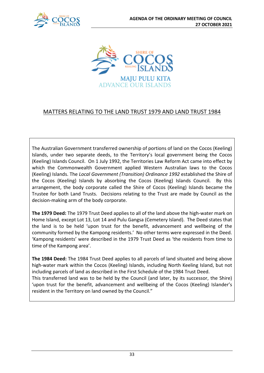



## MATTERS RELATING TO THE LAND TRUST 1979 AND LAND TRUST 1984

The Australian Government transferred ownership of portions of land on the Cocos (Keeling) Islands, under two separate deeds, to the Territory's local government being the Cocos (Keeling) Islands Council. On 1 July 1992, the Territories Law Reform Act came into effect by which the Commonwealth Government applied Western Australian laws to the Cocos (Keeling) Islands. The *Local Government (Transition) Ordinance 1992* established the Shire of the Cocos (Keeling) Islands by absorbing the Cocos (Keeling) Islands Council. By this arrangement, the body corporate called the Shire of Cocos (Keeling) Islands became the Trustee for both Land Trusts. Decisions relating to the Trust are made by Council as the decision-making arm of the body corporate.

**The 1979 Deed:** The 1979 Trust Deed applies to all of the land above the high-water mark on Home Island, except Lot 13, Lot 14 and Pulu Gangsa (Cemetery Island). The Deed states that the land is to be held 'upon trust for the benefit, advancement and wellbeing of the community formed by the Kampong residents.' No other terms were expressed in the Deed. 'Kampong residents' were described in the 1979 Trust Deed as 'the residents from time to time of the Kampong area'.

**The 1984 Deed:** The 1984 Trust Deed applies to all parcels of land situated and being above high-water mark within the Cocos (Keeling) Islands, including North Keeling Island, but not including parcels of land as described in the First Schedule of the 1984 Trust Deed. This transferred land was to be held by the Council (and later, by its successor, the Shire) 'upon trust for the benefit, advancement and wellbeing of the Cocos (Keeling) Islander's resident in the Territory on land owned by the Council."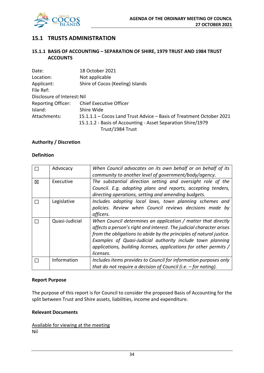

## **15.1 TRUSTS ADMINISTRATION**

#### **15.1.1 BASIS OF ACCOUNTING – SEPARATION OF SHIRE, 1979 TRUST AND 1984 TRUST ACCOUNTS**

| Date:                       | 18 October 2021                                                      |
|-----------------------------|----------------------------------------------------------------------|
| Location:                   | Not applicable                                                       |
| Applicant:                  | Shire of Cocos (Keeling) Islands                                     |
| File Ref:                   |                                                                      |
| Disclosure of Interest: Nil |                                                                      |
| <b>Reporting Officer:</b>   | <b>Chief Executive Officer</b>                                       |
| Island:                     | Shire Wide                                                           |
| Attachments:                | 15.1.1.1 - Cocos Land Trust Advice - Basis of Treatment October 2021 |
|                             | 15.1.1.2 - Basis of Accounting - Asset Separation Shire/1979         |
|                             | Trust/1984 Trust                                                     |

#### **Authority / Discretion**

#### **Definition**

|   | Advocacy       | When Council advocates on its own behalf or on behalf of its<br>community to another level of government/body/agency.                                                                                                                                                                                                                                        |
|---|----------------|--------------------------------------------------------------------------------------------------------------------------------------------------------------------------------------------------------------------------------------------------------------------------------------------------------------------------------------------------------------|
| 区 | Executive      | The substantial direction setting and oversight role of the<br>Council. E.g. adopting plans and reports, accepting tenders,                                                                                                                                                                                                                                  |
|   |                | directing operations, setting and amending budgets.                                                                                                                                                                                                                                                                                                          |
|   | Legislative    | Includes adopting local laws, town planning schemes and<br>policies. Review when Council reviews decisions made by<br>officers.                                                                                                                                                                                                                              |
|   | Quasi-Judicial | When Council determines an application / matter that directly<br>affects a person's right and interest. The judicial character arises<br>from the obligations to abide by the principles of natural justice.<br>Examples of Quasi-Judicial authority include town planning<br>applications, building licenses, applications for other permits /<br>licenses. |
|   | Information    | Includes items provides to Council for information purposes only<br>that do not require a decision of Council (i.e. $-$ for noting).                                                                                                                                                                                                                         |

#### **Report Purpose**

The purpose of this report is for Council to consider the proposed Basis of Accounting for the split between Trust and Shire assets, liabilities, income and expenditure.

#### **Relevant Documents**

Available for viewing at the meeting Nil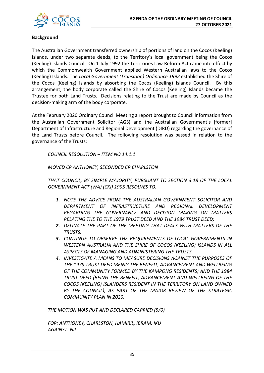

#### **Background**

The Australian Government transferred ownership of portions of land on the Cocos (Keeling) Islands, under two separate deeds, to the Territory's local government being the Cocos (Keeling) Islands Council. On 1 July 1992 the Territories Law Reform Act came into effect by which the Commonwealth Government applied Western Australian laws to the Cocos (Keeling) Islands. The *Local Government (Transition) Ordinance 1992* established the Shire of the Cocos (Keeling) Islands by absorbing the Cocos (Keeling) Islands Council. By this arrangement, the body corporate called the Shire of Cocos (Keeling) Islands became the Trustee for both Land Trusts. Decisions relating to the Trust are made by Council as the decision-making arm of the body corporate.

At the February 2020 Ordinary Council Meeting a report brought to Council information from the Australian Government Solicitor (AGS) and the Australian Government's [former] Department of Infrastructure and Regional Development (DIRD) regarding the governance of the Land Trusts before Council. The following resolution was passed in relation to the governance of the Trusts:

*COUNCIL RESOLUTION – ITEM NO 14.1.1*

*MOVED CR ANTHONEY, SECONDED CR CHARLSTON*

*THAT COUNCIL, BY SIMPLE MAJORITY, PURSUANT TO SECTION 3.18 OF THE LOCAL GOVERNMENT ACT (WA) (CKI) 1995 RESOLVES TO:*

- *1. NOTE THE ADVICE FROM THE AUSTRALIAN GOVERNMENT SOLICITOR AND DEPARTMENT OF INFRASTRUCTURE AND REGIONAL DEVELOPMENT REGARDING THE GOVERNANCE AND DECISION MAKING ON MATTERS RELATING THE TO THE 1979 TRUST DEED AND THE 1984 TRUST DEED;*
- *2. DELINATE THE PART OF THE MEETING THAT DEALS WITH MATTERS OF THE TRUSTS;*
- *3. CONTINUE TO OBSERVE THE REQUIREMENTS OF LOCAL GOVERNMENTS IN WESTERN AUSTRALIA AND THE SHIRE OF COCOS (KEELING) ISLANDS IN ALL ASPECTS OF MANAGING AND ADMINISTERING THE TRUSTS.*
- *4. INVESTIGATE A MEANS TO MEASURE DECISIONS AGAINST THE PURPOSES OF THE 1979 TRUST DEED (BEING THE BENEFIT, ADVANCEMENT AND WELLBEING OF THE COMMUNITY FORMED BY THE KAMPONG RESIDENTS) AND THE 1984 TRUST DEED (BEING THE BENEFIT, ADVANCEMENT AND WELLBEING OF THE COCOS (KEELING) ISLANDERS RESIDENT IN THE TERRITORY ON LAND OWNED BY THE COUNCIL), AS PART OF THE MAJOR REVIEW OF THE STRATEGIC COMMUNITY PLAN IN 2020.*

*THE MOTION WAS PUT AND DECLARED CARRIED (5/0)*

*FOR: ANTHONEY, CHARLSTON, HAMIRIL, IBRAM, IKU AGAINST: NIL*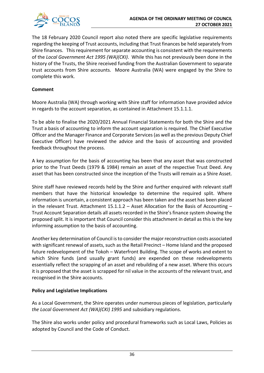

The 18 February 2020 Council report also noted there are specific legislative requirements regarding the keeping of Trust accounts, including that Trust finances be held separately from Shire finances. This requirement for separate accounting is consistent with the requirements of the *Local Government Act 1995 (WA)(CKI)*. While this has not previously been done in the history of the Trusts, the Shire received funding from the Australian Government to separate trust accounts from Shire accounts. Moore Australia (WA) were engaged by the Shire to complete this work.

#### **Comment**

Moore Australia (WA) through working with Shire staff for information have provided advice in regards to the account separation, as contained in Attachment 15.1.1.1.

To be able to finalise the 2020/2021 Annual Financial Statements for both the Shire and the Trust a basis of accounting to inform the account separation is required. The Chief Executive Officer and the Manager Finance and Corporate Services (as well as the previous Deputy Chief Executive Officer) have reviewed the advice and the basis of accounting and provided feedback throughout the process.

A key assumption for the basis of accounting has been that any asset that was constructed prior to the Trust Deeds (1979 & 1984) remain an asset of the respective Trust Deed. Any asset that has been constructed since the inception of the Trusts will remain as a Shire Asset.

Shire staff have reviewed records held by the Shire and further enquired with relevant staff members that have the historical knowledge to determine the required split. Where information is uncertain, a consistent approach has been taken and the asset has been placed in the relevant Trust. Attachment 15.1.1.2 – Asset Allocation for the Basis of Accounting – Trust Account Separation details all assets recorded in the Shire's finance system showing the proposed split. It is important that Council consider this attachment in detail as this is the key informing assumption to the basis of accounting.

Another key determination of Council is to consider the major reconstruction costs associated with significant renewal of assets, such as the Retail Precinct – Home Island and the proposed future redevelopment of the Tokoh – Waterfront Building. The scope of works and extent to which Shire funds (and usually grant funds) are expended on these redevelopments essentially reflect the scrapping of an asset and rebuilding of a new asset. Where this occurs it is proposed that the asset is scrapped for nil value in the accounts of the relevant trust, and recognised in the Shire accounts.

#### **Policy and Legislative Implications**

As a Local Government, the Shire operates under numerous pieces of legislation, particularly *the Local Government Act (WA)(CKI) 1995* and subsidiary regulations.

The Shire also works under policy and procedural frameworks such as Local Laws, Policies as adopted by Council and the Code of Conduct.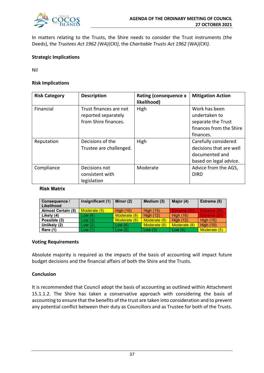

In matters relating to the Trusts, the Shire needs to consider the Trust instruments (the Deeds), the *Trustees Act 1962 (WA)(CKI)*, the *Charitable Trusts Act 1962 (WA)(CKI).* 

#### **Strategic Implications**

Nil

#### **Risk Implications**

| <b>Risk Category</b> | <b>Description</b>                            | <b>Rating (consequence x</b><br>likelihood) | <b>Mitigation Action</b>       |
|----------------------|-----------------------------------------------|---------------------------------------------|--------------------------------|
| Financial            | Trust finances are not<br>reported separately | High                                        | Work has been<br>undertaken to |
|                      | from Shire finances.                          |                                             | separate the Trust             |
|                      |                                               |                                             | finances from the Shire        |
|                      |                                               |                                             | finances.                      |
| Reputation           | Decisions of the                              | High                                        | Carefully considered           |
|                      | Trustee are challenged.                       |                                             | decisions that are well        |
|                      |                                               |                                             | documented and                 |
|                      |                                               |                                             | based on legal advice.         |
| Compliance           | Decisions not                                 | Moderate                                    | Advice from the AGS,           |
|                      | consistent with                               |                                             | <b>DIRD</b>                    |
|                      | legislation                                   |                                             |                                |

#### **Risk Matrix**

| <b>Consequence /</b><br>Likelihood | Insignificant (1) | Minor (2)        | Medium (3)       | Major (4)        | <b>Extreme (5)</b> |
|------------------------------------|-------------------|------------------|------------------|------------------|--------------------|
| <b>Almost Certain (5)</b>          | Moderate (5)      | <b>High (10)</b> | <b>High (15)</b> | Extreme (20)     | Extreme (25)       |
| Likely (4)                         | Low(4)            | Moderate (8)     | <b>High (12)</b> | <b>High (16)</b> | Extreme (20)       |
| Possible (3)                       | Low(3)            | Moderate (6)     | Moderate (9)     | <b>High (12)</b> | <b>High (15)</b>   |
| Unlikely (2)                       | Low (2)           | Low $(4)$        | Moderate (6)     | Moderate (8)     | <b>High (10)</b>   |
| Rare (1)                           | Low (1)           | Low(2)           | Low(3)           | Low $(4)$        | Moderate (5)       |

#### **Voting Requirements**

Absolute majority is required as the impacts of the basis of accounting will impact future budget decisions and the financial affairs of both the Shire and the Trusts.

#### **Conclusion**

It is recommended that Council adopt the basis of accounting as outlined within Attachment 15.1.1.2. The Shire has taken a conservative approach with considering the basis of accounting to ensure that the benefits of the trust are taken into consideration and to prevent any potential conflict between their duty as Councillors and as Trustee for both of the Trusts.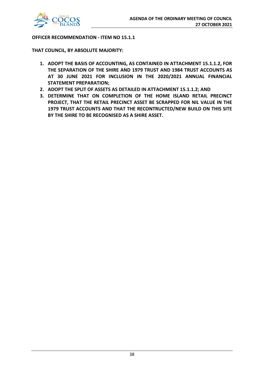

**OFFICER RECOMMENDATION - ITEM NO 15.1.1**

**THAT COUNCIL, BY ABSOLUTE MAJORITY:**

- **1. ADOPT THE BASIS OF ACCOUNTING, AS CONTAINED IN ATTACHMENT 15.1.1.2, FOR THE SEPARATION OF THE SHIRE AND 1979 TRUST AND 1984 TRUST ACCOUNTS AS AT 30 JUNE 2021 FOR INCLUSION IN THE 2020/2021 ANNUAL FINANCIAL STATEMENT PREPARATION;**
- **2. ADOPT THE SPLIT OF ASSETS AS DETAILED IN ATTACHMENT 15.1.1.2; AND**
- **3. DETERMINE THAT ON COMPLETION OF THE HOME ISLAND RETAIL PRECINCT PROJECT, THAT THE RETAIL PRECINCT ASSET BE SCRAPPED FOR NIL VALUE IN THE 1979 TRUST ACCOUNTS AND THAT THE RECONTRUCTED/NEW BUILD ON THIS SITE BY THE SHIRE TO BE RECOGNISED AS A SHIRE ASSET.**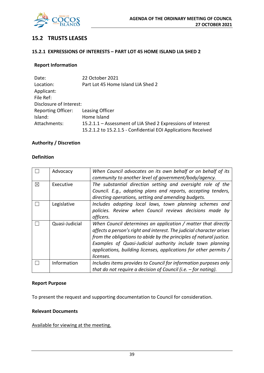

## **15.2 TRUSTS LEASES**

#### **15.2.1 EXPRESSIONS OF INTERESTS – PART LOT 45 HOME ISLAND LIA SHED 2**

#### **Report Information**

| Date:                     | 22 October 2021                                               |
|---------------------------|---------------------------------------------------------------|
| Location:                 | Part Lot 45 Home Island LIA Shed 2                            |
| Applicant:                |                                                               |
| File Ref:                 |                                                               |
| Disclosure of Interest:   |                                                               |
| <b>Reporting Officer:</b> | Leasing Officer                                               |
| Island:                   | Home Island                                                   |
| Attachments:              | 15.2.1.1 – Assessment of LIA Shed 2 Expressions of Interest   |
|                           | 15.2.1.2 to 15.2.1.5 - Confidential EOI Applications Received |

#### **Authority / Discretion**

#### **Definition**

|   | Advocacy       | When Council advocates on its own behalf or on behalf of its         |
|---|----------------|----------------------------------------------------------------------|
|   |                | community to another level of government/body/agency.                |
| ⊠ | Executive      | The substantial direction setting and oversight role of the          |
|   |                | Council. E.g., adopting plans and reports, accepting tenders,        |
|   |                | directing operations, setting and amending budgets.                  |
|   | Legislative    | Includes adopting local laws, town planning schemes and              |
|   |                | policies. Review when Council reviews decisions made by              |
|   |                | officers.                                                            |
|   | Quasi-Judicial | When Council determines an application / matter that directly        |
|   |                | affects a person's right and interest. The judicial character arises |
|   |                | from the obligations to abide by the principles of natural justice.  |
|   |                | Examples of Quasi-Judicial authority include town planning           |
|   |                | applications, building licenses, applications for other permits /    |
|   |                | licenses.                                                            |
|   | Information    | Includes items provides to Council for information purposes only     |
|   |                | that do not require a decision of Council (i.e. $-$ for noting).     |

#### **Report Purpose**

To present the request and supporting documentation to Council for consideration.

#### **Relevant Documents**

#### Available for viewing at the meeting.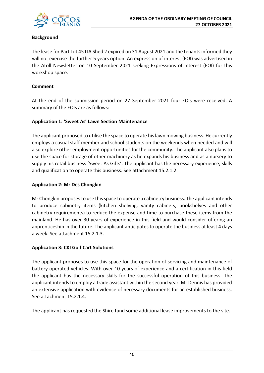

## **Background**

The lease for Part Lot 45 LIA Shed 2 expired on 31 August 2021 and the tenants informed they will not exercise the further 5 years option. An expression of interest (EOI) was advertised in the Atoll Newsletter on 10 September 2021 seeking Expressions of Interest (EOI) for this workshop space.

#### **Comment**

At the end of the submission period on 27 September 2021 four EOIs were received. A summary of the EOIs are as follows:

#### **Application 1: 'Sweet As' Lawn Section Maintenance**

The applicant proposed to utilise the space to operate his lawn mowing business. He currently employs a casual staff member and school students on the weekends when needed and will also explore other employment opportunities for the community. The applicant also plans to use the space for storage of other machinery as he expands his business and as a nursery to supply his retail business 'Sweet As Gifts'. The applicant has the necessary experience, skills and qualification to operate this business. See attachment 15.2.1.2.

#### **Application 2: Mr Des Chongkin**

Mr Chongkin proposes to use this space to operate a cabinetry business. The applicant intends to produce cabinetry items (kitchen shelving, vanity cabinets, bookshelves and other cabinetry requirements) to reduce the expense and time to purchase these items from the mainland. He has over 30 years of experience in this field and would consider offering an apprenticeship in the future. The applicant anticipates to operate the business at least 4 days a week. See attachment 15.2.1.3.

## **Application 3: CKI Golf Cart Solutions**

The applicant proposes to use this space for the operation of servicing and maintenance of battery-operated vehicles. With over 10 years of experience and a certification in this field the applicant has the necessary skills for the successful operation of this business. The applicant intends to employ a trade assistant within the second year. Mr Dennis has provided an extensive application with evidence of necessary documents for an established business. See attachment 15.2.1.4.

The applicant has requested the Shire fund some additional lease improvements to the site.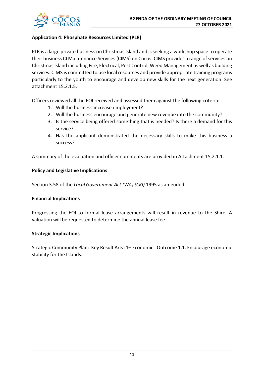

## **Application 4: Phosphate Resources Limited (PLR)**

PLR is a large private business on Christmas Island and is seeking a workshop space to operate their business CI Maintenance Services (CIMS) on Cocos. CIMS provides a range of services on Christmas Island including Fire, Electrical, Pest Control, Weed Management as well as building services. CIMS is committed to use local resources and provide appropriate training programs particularly to the youth to encourage and develop new skills for the next generation. See attachment 15.2.1.5.

Officers reviewed all the EOI received and assessed them against the following criteria:

- 1. Will the business increase employment?
- 2. Will the business encourage and generate new revenue into the community?
- 3. Is the service being offered something that is needed? Is there a demand for this service?
- 4. Has the applicant demonstrated the necessary skills to make this business a success?

A summary of the evaluation and officer comments are provided in Attachment 15.2.1.1.

#### **Policy and Legislative Implications**

Section 3.58 of the *Local Government Act (WA) (CKI)* 1995 as amended.

#### **Financial Implications**

Progressing the EOI to formal lease arrangements will result in revenue to the Shire. A valuation will be requested to determine the annual lease fee.

#### **Strategic Implications**

Strategic Community Plan: Key Result Area 1– Economic: Outcome 1.1. Encourage economic stability for the Islands.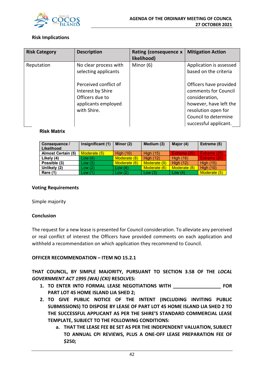

#### **Risk Implications**

| <b>Risk Category</b> | <b>Description</b>                                                                                  | Rating (consequence x<br>likelihood) | <b>Mitigation Action</b>                                                                                                                                           |
|----------------------|-----------------------------------------------------------------------------------------------------|--------------------------------------|--------------------------------------------------------------------------------------------------------------------------------------------------------------------|
| Reputation           | No clear process with<br>selecting applicants                                                       | Minor (6)                            | Application is assessed<br>based on the criteria                                                                                                                   |
|                      | Perceived conflict of<br>Interest by Shire<br>Officers due to<br>applicants employed<br>with Shire. |                                      | Officers have provided<br>comments for Council<br>consideration,<br>however, have left the<br>resolution open for<br>Council to determine<br>successful applicant. |

#### **Risk Matrix**

| <b>Consequence /</b><br>Likelihood | Insignificant (1) | Minor (2)        | Medium (3)       | Major (4)        | Extreme (5)      |
|------------------------------------|-------------------|------------------|------------------|------------------|------------------|
| <b>Almost Certain (5)</b>          | Moderate (5)      | <b>High (10)</b> | <b>High (15)</b> | Extreme (20)     | Extreme (25)     |
| Likely (4)                         | Low(4)            | Moderate (8)     | <b>High (12)</b> | <b>High (16)</b> | Extreme (20)     |
| Possible (3)                       | Low(3)            | Moderate (6)     | Moderate (9)     | <b>High (12)</b> | <b>High (15)</b> |
| Unlikely (2)                       | Low(2)            | Low $(4)$        | Moderate (6)     | Moderate (8)     | <b>High (10)</b> |
| Rare (1)                           | Low(1)            | Low $(2)$        | Low(3)           | Low $(4)$        | Moderate (5)     |

#### **Voting Requirements**

Simple majority

#### **Conclusion**

The request for a new lease is presented for Council consideration. To alleviate any perceived or real conflict of interest the Officers have provided comments on each application and withheld a recommendation on which application they recommend to Council.

#### **OFFICER RECOMMENDATION – ITEM NO 15.2.1**

**THAT COUNCIL, BY SIMPLE MAJORITY, PURSUANT TO SECTION 3.58 OF THE** *LOCAL GOVERNMENT ACT 1995 (WA) (CKI)* **RESOLVES:**

- **1. TO ENTER INTO FORMAL LEASE NEGOTIATIONS WITH \_\_\_\_\_\_\_\_\_\_\_\_\_\_\_\_\_\_ FOR PART LOT 45 HOME ISLAND LIA SHED 2;**
- **2. TO GIVE PUBLIC NOTICE OF THE INTENT (INCLUDING INVITING PUBLIC SUBMISSIONS) TO DISPOSE BY LEASE OF PART LOT 45 HOME ISLAND LIA SHED 2 TO THE SUCCESSFUL APPLICANT AS PER THE SHIRE'S STANDARD COMMERCIAL LEASE TEMPLATE, SUBJECT TO THE FOLLOWING CONDITIONS:**
	- **a. THAT THE LEASE FEE BE SET AS PER THE INDEPENDENT VALUATION, SUBJECT TO ANNUAL CPI REVIEWS, PLUS A ONE-OFF LEASE PREPARATION FEE OF \$250;**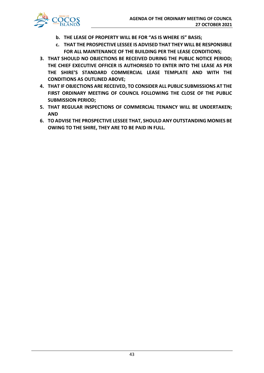

- **b. THE LEASE OF PROPERTY WILL BE FOR "AS IS WHERE IS" BASIS;**
- **c. THAT THE PROSPECTIVE LESSEE IS ADVISED THAT THEY WILL BE RESPONSIBLE FOR ALL MAINTENANCE OF THE BUILDING PER THE LEASE CONDITIONS;**
- **3. THAT SHOULD NO OBJECTIONS BE RECEIVED DURING THE PUBLIC NOTICE PERIOD; THE CHIEF EXECUTIVE OFFICER IS AUTHORISED TO ENTER INTO THE LEASE AS PER THE SHIRE'S STANDARD COMMERCIAL LEASE TEMPLATE AND WITH THE CONDITIONS AS OUTLINED ABOVE;**
- **4. THAT IF OBJECTIONS ARE RECEIVED, TO CONSIDER ALL PUBLIC SUBMISSIONS AT THE FIRST ORDINARY MEETING OF COUNCIL FOLLOWING THE CLOSE OF THE PUBLIC SUBMISSION PERIOD;**
- **5. THAT REGULAR INSPECTIONS OF COMMERCIAL TENANCY WILL BE UNDERTAKEN; AND**
- **6. TO ADVISE THE PROSPECTIVE LESSEE THAT, SHOULD ANY OUTSTANDING MONIES BE OWING TO THE SHIRE, THEY ARE TO BE PAID IN FULL.**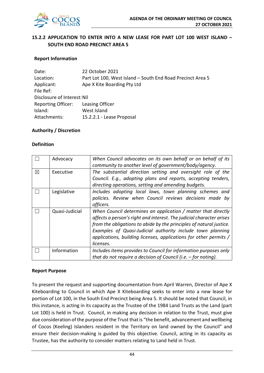

## **15.2.2 APPLICATION TO ENTER INTO A NEW LEASE FOR PART LOT 100 WEST ISLAND – SOUTH END ROAD PRECINCT AREA 5**

#### **Report Information**

| Date:                       | 22 October 2021                                            |
|-----------------------------|------------------------------------------------------------|
| Location:                   | Part Lot 100, West Island - South End Road Precinct Area 5 |
| Applicant:                  | Ape X Kite Boarding Pty Ltd                                |
| File Ref:                   |                                                            |
| Disclosure of Interest: Nil |                                                            |
| <b>Reporting Officer:</b>   | Leasing Officer                                            |
| Island:                     | West Island                                                |
| Attachments:                | 15.2.2.1 - Lease Proposal                                  |

#### **Authority / Discretion**

#### **Definition**

|   | Advocacy       | When Council advocates on its own behalf or on behalf of its<br>community to another level of government/body/agency. |
|---|----------------|-----------------------------------------------------------------------------------------------------------------------|
|   |                |                                                                                                                       |
| X | Executive      | The substantial direction setting and oversight role of the                                                           |
|   |                | Council. E.g., adopting plans and reports, accepting tenders,                                                         |
|   |                | directing operations, setting and amending budgets.                                                                   |
|   | Legislative    | Includes adopting local laws, town planning schemes and                                                               |
|   |                | policies. Review when Council reviews decisions made by                                                               |
|   |                | officers.                                                                                                             |
|   | Quasi-Judicial | When Council determines an application / matter that directly                                                         |
|   |                | affects a person's right and interest. The judicial character arises                                                  |
|   |                | from the obligations to abide by the principles of natural justice.                                                   |
|   |                | Examples of Quasi-Judicial authority include town planning                                                            |
|   |                | applications, building licenses, applications for other permits /                                                     |
|   |                | licenses.                                                                                                             |
|   | Information    | Includes items provides to Council for information purposes only                                                      |
|   |                | that do not require a decision of Council (i.e. $-$ for noting).                                                      |

#### **Report Purpose**

To present the request and supporting documentation from April Warren, Director of Ape X Kiteboarding to Council in which Ape X Kiteboarding seeks to enter into a new lease for portion of Lot 100, in the South End Precinct being Area 5. It should be noted that Council, in this instance, is acting in its capacity as the Trustee of the 1984 Land Trusts as the Land (part Lot 100) is held in Trust. Council, in making any decision in relation to the Trust, must give due consideration of the purpose of the Trust that is "the benefit, advancement and wellbeing of Cocos (Keeling) Islanders resident in the Territory on land owned by the Council" and ensure their decision-making is guided by this objective. Council, acting in its capacity as Trustee, has the authority to consider matters relating to Land held in Trust.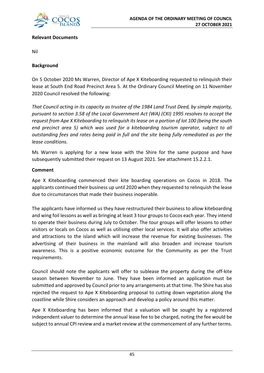

#### **Relevant Documents**

Nil

#### **Background**

On 5 October 2020 Ms Warren, Director of Ape X Kiteboarding requested to relinquish their lease at South End Road Precinct Area 5. At the Ordinary Council Meeting on 11 November 2020 Council resolved the following:

*That Council acting in its capacity as trustee of the 1984 Land Trust Deed, by simple majority, pursuant to section 3.58 of the Local Government Act (WA) (CKI) 1995 resolves to accept the request from Ape X Kiteboarding to relinquish its lease on a portion of lot 100 (being the south end precinct area 5) which was used for a kiteboarding tourism operator, subject to all outstanding fees and rates being paid in full and the site being fully remediated as per the lease conditions.* 

Ms Warren is applying for a new lease with the Shire for the same purpose and have subsequently submitted their request on 13 August 2021. See attachment 15.2.2.1.

#### **Comment**

Ape X Kiteboarding commenced their kite boarding operations on Cocos in 2018. The applicants continued their business up until 2020 when they requested to relinquish the lease due to circumstances that made their business inoperable.

The applicants have informed us they have restructured their business to allow kiteboarding and wing foil lessons as well as bringing at least 3 tour groups to Cocos each year. They intend to operate their business during July to October. The tour groups will offer lessons to other visitors or locals on Cocos as well as utilising other local services. It will also offer activities and attractions to the island which will increase the revenue for existing businesses. The advertising of their business in the mainland will also broaden and increase tourism awareness. This is a positive economic outcome for the Community as per the Trust requirements.

Council should note the applicants will offer to sublease the property during the off-kite season between November to June. They have been informed an application must be submitted and approved by Council prior to any arrangements at that time. The Shire has also rejected the request to Ape X Kiteboarding proposal to cutting down vegetation along the coastline while Shire considers an approach and develop a policy around this matter.

Ape X Kiteboarding has been informed that a valuation will be sought by a registered independent valuer to determine the annual lease fee to be charged, noting the fee would be subject to annual CPI review and a market review at the commencement of any further terms.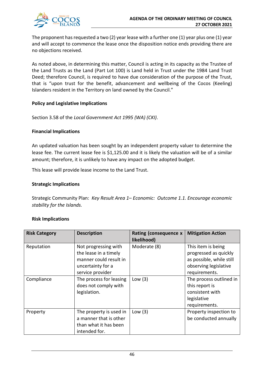

The proponent has requested a two (2) year lease with a further one (1) year plus one (1) year and will accept to commence the lease once the disposition notice ends providing there are no objections received.

As noted above, in determining this matter, Council is acting in its capacity as the Trustee of the Land Trusts as the Land (Part Lot 100) is Land held in Trust under the 1984 Land Trust Deed; therefore Council, is required to have due consideration of the purpose of the Trust, that is "upon trust for the benefit, advancement and wellbeing of the Cocos (Keeling) Islanders resident in the Territory on land owned by the Council."

#### **Policy and Legislative Implications**

Section 3.58 of the *Local Government Act 1995 (WA) (CKI)*.

#### **Financial Implications**

An updated valuation has been sought by an independent property valuer to determine the lease fee. The current lease fee is \$1,125.00 and it is likely the valuation will be of a similar amount; therefore, it is unlikely to have any impact on the adopted budget.

This lease will provide lease income to the Land Trust.

#### **Strategic Implications**

Strategic Community Plan: *Key Result Area 1– Economic: Outcome 1.1. Encourage economic stability for the Islands.*

#### **Risk Implications**

| <b>Risk Category</b> | <b>Description</b>                                                                                               | Rating (consequence x<br>likelihood) | <b>Mitigation Action</b>                                                                                          |
|----------------------|------------------------------------------------------------------------------------------------------------------|--------------------------------------|-------------------------------------------------------------------------------------------------------------------|
| Reputation           | Not progressing with<br>the lease in a timely<br>manner could result in<br>uncertainty for a<br>service provider | Moderate (8)                         | This item is being<br>progressed as quickly<br>as possible, while still<br>observing legislative<br>requirements. |
| Compliance           | The process for leasing<br>does not comply with<br>legislation.                                                  | Low $(3)$                            | The process outlined in<br>this report is<br>consistent with<br>legislative<br>requirements.                      |
| Property             | The property is used in<br>a manner that is other<br>than what it has been<br>intended for.                      | Low $(3)$                            | Property inspection to<br>be conducted annually                                                                   |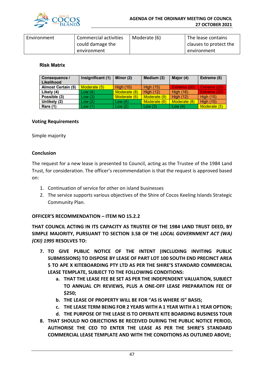

| Environment | Commercial activities | Moderate (6) | The lease contains     |
|-------------|-----------------------|--------------|------------------------|
|             | could damage the      |              | clauses to protect the |
|             | environment           |              | environment            |

#### **Risk Matrix**

| Consequence /<br>Likelihood | Insignificant (1) | Minor (2)        | Medium (3)       | Major (4)        | Extreme (5)      |
|-----------------------------|-------------------|------------------|------------------|------------------|------------------|
| <b>Almost Certain (5)</b>   | Moderate (5)      | <b>High (10)</b> | <b>High (15)</b> | Extreme (20)     | Extreme (25)     |
| Likely (4)                  | Low(4)            | Moderate (8)     | <b>High (12)</b> | High $(16)$      | Extreme (20)     |
| Possible (3)                | Low(3)            | Moderate (6)     | Moderate (9)     | <b>High (12)</b> | <b>High (15)</b> |
| Unlikely (2)                | Low(2)            | Low $(4)$        | Moderate (6)     | Moderate (8)     | <b>High (10)</b> |
| Rare (1)                    | Low(1)            | Low(2)           | Low $(3)$        | Low $(4)$        | Moderate (5)     |

#### **Voting Requirements**

Simple majority

#### **Conclusion**

The request for a new lease is presented to Council, acting as the Trustee of the 1984 Land Trust, for consideration. The officer's recommendation is that the request is approved based on:

- 1. Continuation of service for other on island businesses
- 2. The service supports various objectives of the Shire of Cocos Keeling Islands Strategic Community Plan.

#### **OFFICER'S RECOMMENDATION – ITEM NO 15.2.2**

**THAT COUNCIL ACTING IN ITS CAPACITY AS TRUSTEE OF THE 1984 LAND TRUST DEED, BY SIMPLE MAJORITY, PURSUANT TO SECTION 3.58 OF THE** *LOCAL GOVERNMENT ACT (WA) (CKI) 1995* **RESOLVES TO:**

- **7. TO GIVE PUBLIC NOTICE OF THE INTENT (INCLUDING INVITING PUBLIC SUBMISSIONS) TO DISPOSE BY LEASE OF PART LOT 100 SOUTH END PRECINCT AREA 5 TO APE X KITEBOARDING PTY LTD AS PER THE SHIRE'S STANDARD COMMERCIAL LEASE TEMPLATE, SUBJECT TO THE FOLLOWING CONDITIONS:**
	- **a. THAT THE LEASE FEE BE SET AS PER THE INDEPENDENT VALUATION, SUBJECT TO ANNUAL CPI REVIEWS, PLUS A ONE-OFF LEASE PREPARATION FEE OF \$250;**
	- **b. THE LEASE OF PROPERTY WILL BE FOR "AS IS WHERE IS" BASIS;**
	- **c. THE LEASE TERM BEING FOR 2 YEARS WITH A 1 YEAR WITH A 1 YEAR OPTION;**
	- **d. THE PURPOSE OF THE LEASE IS TO OPERATE KITE BOARDING BUSINESS TOUR**
- **8. THAT SHOULD NO OBJECTIONS BE RECEIVED DURING THE PUBLIC NOTICE PERIOD, AUTHORISE THE CEO TO ENTER THE LEASE AS PER THE SHIRE'S STANDARD COMMERCIAL LEASE TEMPLATE AND WITH THE CONDITIONS AS OUTLINED ABOVE;**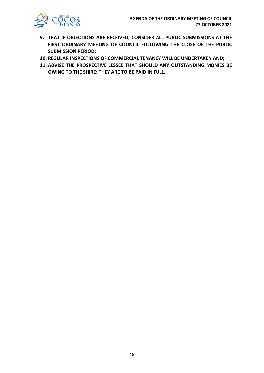

- **9. THAT IF OBJECTIONS ARE RECEIVED, CONSIDER ALL PUBLIC SUBMISSIONS AT THE FIRST ORDINARY MEETING OF COUNCIL FOLLOWING THE CLOSE OF THE PUBLIC SUBMISSION PERIOD;**
- **10. REGULAR INSPECTIONS OF COMMERCIAL TENANCY WILL BE UNDERTAKEN AND;**
- **11. ADVISE THE PROSPECTIVE LESSEE THAT SHOULD ANY OUTSTANDING MONIES BE OWING TO THE SHIRE; THEY ARE TO BE PAID IN FULL.**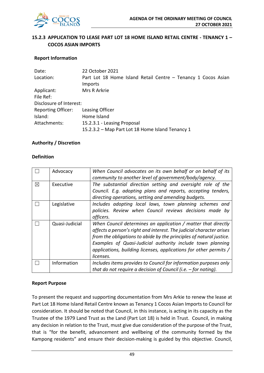

## **15.2.3 APPLICATION TO LEASE PART LOT 18 HOME ISLAND RETAIL CENTRE - TENANCY 1 – COCOS ASIAN IMPORTS**

#### **Report Information**

| Date:                     | 22 October 2021                                                                 |
|---------------------------|---------------------------------------------------------------------------------|
| Location:                 | Part Lot 18 Home Island Retail Centre - Tenancy 1 Cocos Asian<br><b>Imports</b> |
| Applicant:                | Mrs R Arkrie                                                                    |
| File Ref:                 |                                                                                 |
| Disclosure of Interest:   |                                                                                 |
| <b>Reporting Officer:</b> | Leasing Officer                                                                 |
| Island:                   | Home Island                                                                     |
| Attachments:              | 15.2.3.1 - Leasing Proposal                                                     |
|                           | 15.2.3.2 – Map Part Lot 18 Home Island Tenancy 1                                |

#### **Authority / Discretion**

#### **Definition**

|   | Advocacy       | When Council advocates on its own behalf or on behalf of its         |
|---|----------------|----------------------------------------------------------------------|
|   |                | community to another level of government/body/agency.                |
| ⊠ | Executive      | The substantial direction setting and oversight role of the          |
|   |                | Council. E.g. adopting plans and reports, accepting tenders,         |
|   |                | directing operations, setting and amending budgets.                  |
|   | Legislative    | Includes adopting local laws, town planning schemes and              |
|   |                | policies. Review when Council reviews decisions made by              |
|   |                | officers.                                                            |
|   | Quasi-Judicial | When Council determines an application / matter that directly        |
|   |                | affects a person's right and interest. The judicial character arises |
|   |                | from the obligations to abide by the principles of natural justice.  |
|   |                | Examples of Quasi-Judicial authority include town planning           |
|   |                | applications, building licenses, applications for other permits /    |
|   |                | licenses.                                                            |
|   | Information    | Includes items provides to Council for information purposes only     |
|   |                | that do not require a decision of Council (i.e. $-$ for noting).     |

#### **Report Purpose**

To present the request and supporting documentation from Mrs Arkie to renew the lease at Part Lot 18 Home Island Retail Centre known as Tenancy 1 Cocos Asian Imports to Council for consideration. It should be noted that Council, in this instance, is acting in its capacity as the Trustee of the 1979 Land Trust as the Land (Part Lot 18) is held in Trust. Council, in making any decision in relation to the Trust, must give due consideration of the purpose of the Trust, that is "for the benefit, advancement and wellbeing of the community formed by the Kampong residents" and ensure their decision-making is guided by this objective. Council,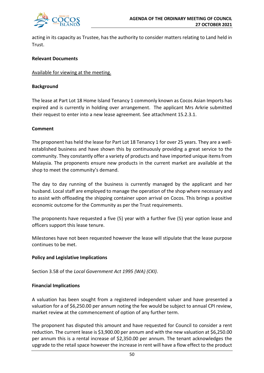

acting in its capacity as Trustee, has the authority to consider matters relating to Land held in Trust.

#### **Relevant Documents**

#### Available for viewing at the meeting.

#### **Background**

The lease at Part Lot 18 Home Island Tenancy 1 commonly known as Cocos Asian Imports has expired and is currently in holding over arrangement. The applicant Mrs Arkrie submitted their request to enter into a new lease agreement. See attachment 15.2.3.1.

#### **Comment**

The proponent has held the lease for Part Lot 18 Tenancy 1 for over 25 years. They are a wellestablished business and have shown this by continuously providing a great service to the community. They constantly offer a variety of products and have imported unique items from Malaysia. The proponents ensure new products in the current market are available at the shop to meet the community's demand.

The day to day running of the business is currently managed by the applicant and her husband. Local staff are employed to manage the operation of the shop where necessary and to assist with offloading the shipping container upon arrival on Cocos. This brings a positive economic outcome for the Community as per the Trust requirements.

The proponents have requested a five (5) year with a further five (5) year option lease and officers support this lease tenure.

Milestones have not been requested however the lease will stipulate that the lease purpose continues to be met.

#### **Policy and Legislative Implications**

Section 3.58 of the *Local Government Act 1995 (WA) (CKI)*.

#### **Financial Implications**

A valuation has been sought from a registered independent valuer and have presented a valuation for a of \$6,250.00 per annum noting the fee would be subject to annual CPI review, market review at the commencement of option of any further term.

The proponent has disputed this amount and have requested for Council to consider a rent reduction. The current lease is \$3,900.00 per annum and with the new valuation at \$6,250.00 per annum this is a rental increase of \$2,350.00 per annum. The tenant acknowledges the upgrade to the retail space however the increase in rent will have a flow effect to the product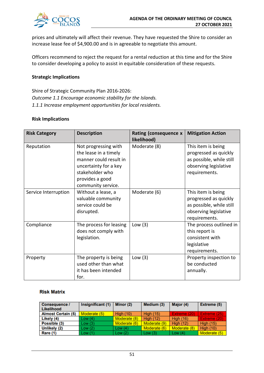

prices and ultimately will affect their revenue. They have requested the Shire to consider an increase lease fee of \$4,900.00 and is in agreeable to negotiate this amount.

Officers recommend to reject the request for a rental reduction at this time and for the Shire to consider developing a policy to assist in equitable consideration of these requests.

#### **Strategic Implications**

Shire of Strategic Community Plan 2016-2026: *Outcome 1.1 Encourage economic stability for the Islands. 1.1.1 Increase employment opportunities for local residents.*

#### **Risk Implications**

| <b>Risk Category</b> | <b>Description</b>                                                                                                                                           | Rating (consequence x<br>likelihood) | <b>Mitigation Action</b>                                                                                          |
|----------------------|--------------------------------------------------------------------------------------------------------------------------------------------------------------|--------------------------------------|-------------------------------------------------------------------------------------------------------------------|
| Reputation           | Not progressing with<br>the lease in a timely<br>manner could result in<br>uncertainty for a key<br>stakeholder who<br>provides a good<br>community service. | Moderate (8)                         | This item is being<br>progressed as quickly<br>as possible, while still<br>observing legislative<br>requirements. |
| Service Interruption | Without a lease, a<br>valuable community<br>service could be<br>disrupted.                                                                                   | Moderate (6)                         | This item is being<br>progressed as quickly<br>as possible, while still<br>observing legislative<br>requirements. |
| Compliance           | The process for leasing<br>does not comply with<br>legislation.                                                                                              | Low $(3)$                            | The process outlined in<br>this report is<br>consistent with<br>legislative<br>requirements.                      |
| Property             | The property is being<br>used other than what<br>it has been intended<br>for.                                                                                | Low $(3)$                            | Property inspection to<br>be conducted<br>annually.                                                               |

#### **Risk Matrix**

| <b>Consequence /</b><br>Likelihood | Insignificant (1) | Minor (2)    | Medium (3)       | Major (4)        | Extreme (5)      |
|------------------------------------|-------------------|--------------|------------------|------------------|------------------|
| <b>Almost Certain (5)</b>          | Moderate (5)      | High $(10)$  | <b>High (15)</b> | Extreme (20)     | Extreme (25)     |
| Likely (4)                         | Low(4)            | Moderate (8) | High $(12)$      | <b>High (16)</b> | Extreme (20)     |
| Possible (3)                       | Low(3)            | Moderate (6) | Moderate (9)     | <b>High (12)</b> | <b>High (15)</b> |
| Unlikely (2)                       | Low(2)            | Low (4)      | Moderate (6)     | Moderate (8)     | <b>High (10)</b> |
| Rare (1)                           | Low(1)            | Low $(2)$    | Low $(3)$        | Low (4)          | Moderate (5)     |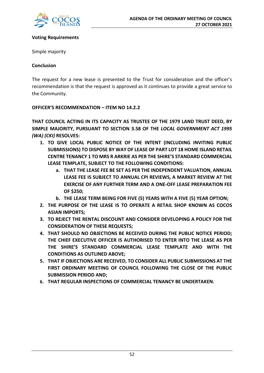

#### **Voting Requirements**

Simple majority

#### **Conclusion**

The request for a new lease is presented to the Trust for consideration and the officer's recommendation is that the request is approved as it continues to provide a great service to the Community.

#### **OFFICER'S RECOMMENDATION – ITEM NO 14.2.2**

**THAT COUNCIL ACTING IN ITS CAPACITY AS TRUSTEE OF THE 1979 LAND TRUST DEED, BY SIMPLE MAJORITY, PURSUANT TO SECTION 3.58 OF THE** *LOCAL GOVERNMENT ACT 1995 (WA) (CKI)* **RESOLVES:**

- **1. TO GIVE LOCAL PUBLIC NOTICE OF THE INTENT (INCLUDING INVITING PUBLIC SUBMISSIONS) TO DISPOSE BY WAY OF LEASE OF PART LOT 18 HOME ISLAND RETAIL CENTRE TENANCY 1 TO MRS R ARKRIE AS PER THE SHIRE'S STANDARD COMMERCIAL LEASE TEMPLATE, SUBJECT TO THE FOLLOWING CONDITIONS:**
	- **a. THAT THE LEASE FEE BE SET AS PER THE INDEPENDENT VALUATION, ANNUAL LEASE FEE IS SUBJECT TO ANNUAL CPI REVIEWS, A MARKET REVIEW AT THE EXERCISE OF ANY FURTHER TERM AND A ONE-OFF LEASE PREPARATION FEE OF \$250;**
	- **b. THE LEASE TERM BEING FOR FIVE (5) YEARS WITH A FIVE (5) YEAR OPTION;**
- **2. THE PURPOSE OF THE LEASE IS TO OPERATE A RETAIL SHOP KNOWN AS COCOS ASIAN IMPORTS;**
- **3. TO REJECT THE RENTAL DISCOUNT AND CONSIDER DEVELOPING A POLICY FOR THE CONSIDERATION OF THESE REQUESTS;**
- **4. THAT SHOULD NO OBJECTIONS BE RECEIVED DURING THE PUBLIC NOTICE PERIOD; THE CHIEF EXECUTIVE OFFICER IS AUTHORISED TO ENTER INTO THE LEASE AS PER THE SHIRE'S STANDARD COMMERCIAL LEASE TEMPLATE AND WITH THE CONDITIONS AS OUTLINED ABOVE;**
- **5. THAT IF OBJECTIONS ARE RECEIVED, TO CONSIDER ALL PUBLIC SUBMISSIONS AT THE FIRST ORDINARY MEETING OF COUNCIL FOLLOWING THE CLOSE OF THE PUBLIC SUBMISSION PERIOD AND;**
- **6. THAT REGULAR INSPECTIONS OF COMMERCIAL TENANCY BE UNDERTAKEN.**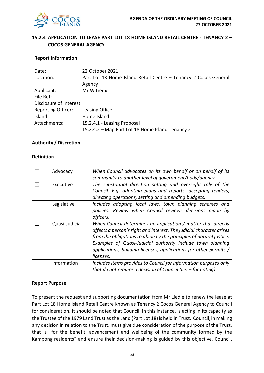

## **15.2.4 APPLICATION TO LEASE PART LOT 18 HOME ISLAND RETAIL CENTRE - TENANCY 2 – COCOS GENERAL AGENCY**

#### **Report Information**

| Date:                     | 22 October 2021                                                 |
|---------------------------|-----------------------------------------------------------------|
| Location:                 | Part Lot 18 Home Island Retail Centre - Tenancy 2 Cocos General |
|                           | Agency                                                          |
| Applicant:                | Mr W Liedie                                                     |
| File Ref:                 |                                                                 |
| Disclosure of Interest:   |                                                                 |
| <b>Reporting Officer:</b> | Leasing Officer                                                 |
| Island:                   | Home Island                                                     |
| Attachments:              | 15.2.4.1 - Leasing Proposal                                     |
|                           | 15.2.4.2 - Map Part Lot 18 Home Island Tenancy 2                |

#### **Authority / Discretion**

#### **Definition**

|   | Advocacy       | When Council advocates on its own behalf or on behalf of its         |
|---|----------------|----------------------------------------------------------------------|
|   |                | community to another level of government/body/agency.                |
| ⊠ | Executive      | The substantial direction setting and oversight role of the          |
|   |                | Council. E.g. adopting plans and reports, accepting tenders,         |
|   |                | directing operations, setting and amending budgets.                  |
|   | Legislative    | Includes adopting local laws, town planning schemes and              |
|   |                | policies. Review when Council reviews decisions made by              |
|   |                | officers.                                                            |
|   | Quasi-Judicial | When Council determines an application / matter that directly        |
|   |                | affects a person's right and interest. The judicial character arises |
|   |                | from the obligations to abide by the principles of natural justice.  |
|   |                | Examples of Quasi-Judicial authority include town planning           |
|   |                | applications, building licenses, applications for other permits /    |
|   |                | licenses.                                                            |
|   | Information    | Includes items provides to Council for information purposes only     |
|   |                | that do not require a decision of Council (i.e. $-$ for noting).     |

#### **Report Purpose**

To present the request and supporting documentation from Mr Liedie to renew the lease at Part Lot 18 Home Island Retail Centre known as Tenancy 2 Cocos General Agency to Council for consideration. It should be noted that Council, in this instance, is acting in its capacity as the Trustee of the 1979 Land Trust as the Land (Part Lot 18) is held in Trust. Council, in making any decision in relation to the Trust, must give due consideration of the purpose of the Trust, that is "for the benefit, advancement and wellbeing of the community formed by the Kampong residents" and ensure their decision-making is guided by this objective. Council,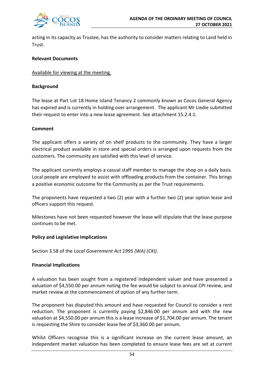

acting in its capacity as Trustee, has the authority to consider matters relating to Land held in Trust.

#### **Relevant Documents**

#### Available for viewing at the meeting.

#### **Background**

The lease at Part Lot 18 Home Island Tenancy 2 commonly known as Cocos General Agency has expired and is currently in holding over arrangement. The applicant Mr Liedie submitted their request to enter into a new lease agreement. See attachment 15.2.4.1.

#### **Comment**

The applicant offers a variety of on shelf products to the community. They have a larger electrical product available in store and special orders is arranged upon requests from the customers. The community are satisfied with this level of service.

The applicant currently employs a casual staff member to manage the shop on a daily basis. Local people are employed to assist with offloading products from the container. This brings a positive economic outcome for the Community as per the Trust requirements.

The proponents have requested a two (2) year with a further two (2) year option lease and officers support this request.

Milestones have not been requested however the lease will stipulate that the lease purpose continues to be met.

#### **Policy and Legislative Implications**

Section 3.58 of the *Local Government Act 1995 (WA) (CKI)*.

#### **Financial Implications**

A valuation has been sought from a registered independent valuer and have presented a valuation of \$4,550.00 per annum noting the fee would be subject to annual CPI review, and market review at the commencement of option of any further term.

The proponent has disputed this amount and have requested for Council to consider a rent reduction. The proponent is currently paying \$2,846.00 per annum and with the new valuation at \$4,550.00 per annum this is a lease increase of \$1,704.00 per annum. The tenant is requesting the Shire to consider lease fee of \$3,360.00 per annum.

Whilst Officers recognise this is a significant increase on the current lease amount, an independent market valuation has been completed to ensure lease fees are set at current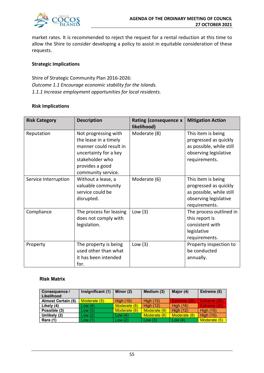

market rates. It is recommended to reject the request for a rental reduction at this time to allow the Shire to consider developing a policy to assist in equitable consideration of these requests.

#### **Strategic Implications**

Shire of Strategic Community Plan 2016-2026: *Outcome 1.1 Encourage economic stability for the Islands. 1.1.1 Increase employment opportunities for local residents.*

#### **Risk Implications**

| <b>Risk Category</b> | <b>Description</b>                                                                                                                                           | Rating (consequence x<br>likelihood) | <b>Mitigation Action</b>                                                                                          |
|----------------------|--------------------------------------------------------------------------------------------------------------------------------------------------------------|--------------------------------------|-------------------------------------------------------------------------------------------------------------------|
| Reputation           | Not progressing with<br>the lease in a timely<br>manner could result in<br>uncertainty for a key<br>stakeholder who<br>provides a good<br>community service. | Moderate (8)                         | This item is being<br>progressed as quickly<br>as possible, while still<br>observing legislative<br>requirements. |
| Service Interruption | Without a lease, a<br>valuable community<br>service could be<br>disrupted.                                                                                   | Moderate (6)                         | This item is being<br>progressed as quickly<br>as possible, while still<br>observing legislative<br>requirements. |
| Compliance           | The process for leasing<br>does not comply with<br>legislation.                                                                                              | Low $(3)$                            | The process outlined in<br>this report is<br>consistent with<br>legislative<br>requirements.                      |
| Property             | The property is being<br>used other than what<br>it has been intended<br>for.                                                                                | Low $(3)$                            | Property inspection to<br>be conducted<br>annually.                                                               |

#### **Risk Matrix**

| <b>Consequence /</b><br>Likelihood | Insignificant (1) | Minor (2)    | Medium (3)       | Major (4)        | Extreme (5)      |
|------------------------------------|-------------------|--------------|------------------|------------------|------------------|
| <b>Almost Certain (5)</b>          | Moderate (5)      | High $(10)$  | <b>High (15)</b> | Extreme (20)     | Extreme (25)     |
| Likely (4)                         | Low(4)            | Moderate (8) | <b>High (12)</b> | <b>High (16)</b> | Extreme (20)     |
| Possible (3)                       | Low(3)            | Moderate (6) | Moderate (9)     | <b>High (12)</b> | <b>High (15)</b> |
| Unlikely (2)                       | Low(2)            | Low $(4)$    | Moderate (6)     | Moderate (8)     | High $(10)$      |
| Rare (1)                           | Low(1)            | Low $(2)$    | Low $(3)$        | Low $(4)$        | Moderate (5)     |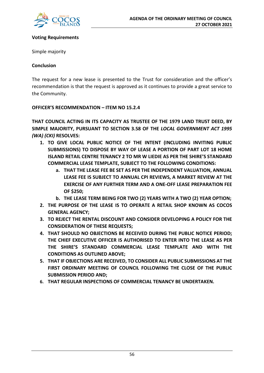

#### **Voting Requirements**

Simple majority

#### **Conclusion**

The request for a new lease is presented to the Trust for consideration and the officer's recommendation is that the request is approved as it continues to provide a great service to the Community.

#### **OFFICER'S RECOMMENDATION – ITEM NO 15.2.4**

**THAT COUNCIL ACTING IN ITS CAPACITY AS TRUSTEE OF THE 1979 LAND TRUST DEED, BY SIMPLE MAJORITY, PURSUANT TO SECTION 3.58 OF THE** *LOCAL GOVERNMENT ACT 1995 (WA) (CKI)* **RESOLVES:**

- **1. TO GIVE LOCAL PUBLIC NOTICE OF THE INTENT (INCLUDING INVITING PUBLIC SUBMISSIONS) TO DISPOSE BY WAY OF LEASE A PORTION OF PART LOT 18 HOME ISLAND RETAIL CENTRE TENANCY 2 TO MR W LIEDIE AS PER THE SHIRE'S STANDARD COMMERCIAL LEASE TEMPLATE, SUBJECT TO THE FOLLOWING CONDITIONS:**
	- **a. THAT THE LEASE FEE BE SET AS PER THE INDEPENDENT VALUATION, ANNUAL LEASE FEE IS SUBJECT TO ANNUAL CPI REVIEWS, A MARKET REVIEW AT THE EXERCISE OF ANY FURTHER TERM AND A ONE-OFF LEASE PREPARATION FEE OF \$250;**
	- **b. THE LEASE TERM BEING FOR TWO (2) YEARS WITH A TWO (2) YEAR OPTION;**
- **2. THE PURPOSE OF THE LEASE IS TO OPERATE A RETAIL SHOP KNOWN AS COCOS GENERAL AGENCY;**
- **3. TO REJECT THE RENTAL DISCOUNT AND CONSIDER DEVELOPING A POLICY FOR THE CONSIDERATION OF THESE REQUESTS;**
- **4. THAT SHOULD NO OBJECTIONS BE RECEIVED DURING THE PUBLIC NOTICE PERIOD; THE CHIEF EXECUTIVE OFFICER IS AUTHORISED TO ENTER INTO THE LEASE AS PER THE SHIRE'S STANDARD COMMERCIAL LEASE TEMPLATE AND WITH THE CONDITIONS AS OUTLINED ABOVE;**
- **5. THAT IF OBJECTIONS ARE RECEIVED, TO CONSIDER ALL PUBLIC SUBMISSIONS AT THE FIRST ORDINARY MEETING OF COUNCIL FOLLOWING THE CLOSE OF THE PUBLIC SUBMISSION PERIOD AND;**
- **6. THAT REGULAR INSPECTIONS OF COMMERCIAL TENANCY BE UNDERTAKEN.**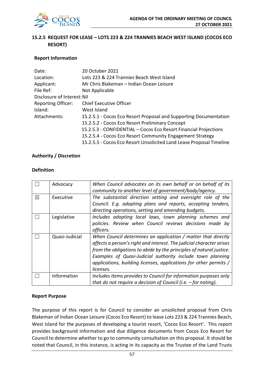

## **15.2.5 REQUEST FOR LEASE – LOTS 223 & 224 TRANNIES BEACH WEST ISLAND (COCOS ECO RESORT)**

#### **Report Information**

| Date:                       | 20 October 2021                                                      |
|-----------------------------|----------------------------------------------------------------------|
| Location:                   | Lots 223 & 224 Trannies Beach West Island                            |
| Applicant:                  | Mr Chris Blakeman – Indian Ocean Leisure                             |
| File Ref:                   | Not Applicable                                                       |
| Disclosure of Interest: Nil |                                                                      |
| <b>Reporting Officer:</b>   | <b>Chief Executive Officer</b>                                       |
| Island:                     | West Island                                                          |
| Attachments:                | 15.2.5.1 - Cocos Eco Resort Proposal and Supporting Documentation    |
|                             | 15.2.5.2 - Cocos Eco Resort Preliminary Concept                      |
|                             | 15.2.5.3 - CONFIDENTIAL – Cocos Eco Resort Financial Projections     |
|                             | 15.2.5.4 - Cocos Eco Resort Community Engagement Strategy            |
|                             | 15.2.5.5 - Cocos Eco Resort Unsolicited Land Lease Proposal Timeline |

#### **Authority / Discretion**

#### **Definition**

|   | Advocacy       | When Council advocates on its own behalf or on behalf of its<br>community to another level of government/body/agency.                                                                                                                                                                                                                                        |
|---|----------------|--------------------------------------------------------------------------------------------------------------------------------------------------------------------------------------------------------------------------------------------------------------------------------------------------------------------------------------------------------------|
| ⊠ | Executive      | The substantial direction setting and oversight role of the<br>Council. E.g. adopting plans and reports, accepting tenders,<br>directing operations, setting and amending budgets.                                                                                                                                                                           |
|   | Legislative    | Includes adopting local laws, town planning schemes and<br>policies. Review when Council reviews decisions made by<br>officers.                                                                                                                                                                                                                              |
|   | Quasi-Judicial | When Council determines an application / matter that directly<br>affects a person's right and interest. The judicial character arises<br>from the obligations to abide by the principles of natural justice.<br>Examples of Quasi-Judicial authority include town planning<br>applications, building licenses, applications for other permits /<br>licenses. |
|   | Information    | Includes items provides to Council for information purposes only<br>that do not require a decision of Council (i.e. $-$ for noting).                                                                                                                                                                                                                         |

#### **Report Purpose**

The purpose of this report is for Council to consider an unsolicited proposal from Chris Blakeman of Indian Ocean Leisure (Cocos Eco Resort) to lease Lots 223 & 224 Trannies Beach, West Island for the purposes of developing a tourist resort, 'Cocos Eco Resort'. This report provides background information and due diligence documents from Cocos Eco Resort for Council to determine whether to go to community consultation on this proposal. It should be noted that Council, in this instance, is acting in its capacity as the Trustee of the Land Trusts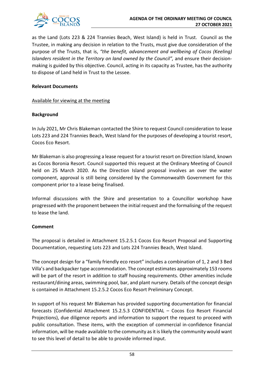

as the Land (Lots 223 & 224 Trannies Beach, West Island) is held in Trust. Council as the Trustee, in making any decision in relation to the Trusts, must give due consideration of the purpose of the Trusts, that is, *"the benefit, advancement and wellbeing of Cocos (Keeling) Islanders resident in the Territory on land owned by the Council",* and ensure their decisionmaking is guided by this objective. Council, acting in its capacity as Trustee, has the authority to dispose of Land held in Trust to the Lessee.

#### **Relevant Documents**

#### Available for viewing at the meeting

#### **Background**

In July 2021, Mr Chris Blakeman contacted the Shire to request Council consideration to lease Lots 223 and 224 Trannies Beach, West Island for the purposes of developing a tourist resort, Cocos Eco Resort.

Mr Blakeman is also progressing a lease request for a tourist resort on Direction Island, known as Cocos Boronia Resort. Council supported this request at the Ordinary Meeting of Council held on 25 March 2020. As the Direction Island proposal involves an over the water component, approval is still being considered by the Commonwealth Government for this component prior to a lease being finalised.

Informal discussions with the Shire and presentation to a Councillor workshop have progressed with the proponent between the initial request and the formalising of the request to lease the land.

## **Comment**

The proposal is detailed in Attachment 15.2.5.1 Cocos Eco Resort Proposal and Supporting Documentation, requesting Lots 223 and Lots 224 Trannies Beach, West Island.

The concept design for a "family friendly eco resort" includes a combination of 1, 2 and 3 Bed Villa's and backpacker type accommodation. The concept estimates approximately 153 rooms will be part of the resort in addition to staff housing requirements. Other amenities include restaurant/dining areas, swimming pool, bar, and plant nursery. Details of the concept design is contained in Attachment 15.2.5.2 Cocos Eco Resort Preliminary Concept.

In support of his request Mr Blakeman has provided supporting documentation for financial forecasts (Confidential Attachment 15.2.5.3 CONFIDENTIAL – Cocos Eco Resort Financial Projections), due diligence reports and information to support the request to proceed with public consultation. These items, with the exception of commercial in-confidence financial information, will be made available to the community as it is likely the community would want to see this level of detail to be able to provide informed input.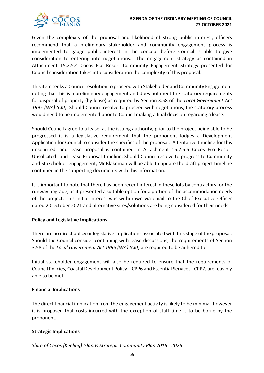

Given the complexity of the proposal and likelihood of strong public interest, officers recommend that a preliminary stakeholder and community engagement process is implemented to gauge public interest in the concept before Council is able to give consideration to entering into negotiations. The engagement strategy as contained in Attachment 15.2.5.4 Cocos Eco Resort Community Engagement Strategy presented for Council consideration takes into consideration the complexity of this proposal.

This item seeks a Council resolution to proceed with Stakeholder and Community Engagement noting that this is a preliminary engagement and does not meet the statutory requirements for disposal of property (by lease) as required by Section 3.58 of the *Local Government Act 1995 (WA) (CKI)*. Should Council resolve to proceed with negotiations, the statutory process would need to be implemented prior to Council making a final decision regarding a lease.

Should Council agree to a lease, as the issuing authority, prior to the project being able to be progressed it is a legislative requirement that the proponent lodges a Development Application for Council to consider the specifics of the proposal. A tentative timeline for this unsolicited land lease proposal is contained in Attachment 15.2.5.5 Cocos Eco Resort Unsolicited Land Lease Proposal Timeline. Should Council resolve to progress to Community and Stakeholder engagement, Mr Blakeman will be able to update the draft project timeline contained in the supporting documents with this information.

It is important to note that there has been recent interest in these lots by contractors for the runway upgrade, as it presented a suitable option for a portion of the accommodation needs of the project. This initial interest was withdrawn via email to the Chief Executive Officer dated 20 October 2021 and alternative sites/solutions are being considered for their needs.

## **Policy and Legislative Implications**

There are no direct policy or legislative implications associated with this stage of the proposal. Should the Council consider continuing with lease discussions, the requirements of Section 3.58 of the *Local Government Act 1995 (WA) (CKI)* are required to be adhered to.

Initial stakeholder engagement will also be required to ensure that the requirements of Council Policies, Coastal Development Policy – CPP6 and Essential Services - CPP7, are feasibly able to be met.

## **Financial Implications**

The direct financial implication from the engagement activity is likely to be minimal, however it is proposed that costs incurred with the exception of staff time is to be borne by the proponent.

## **Strategic Implications**

*Shire of Cocos (Keeling) Islands Strategic Community Plan 2016 - 2026*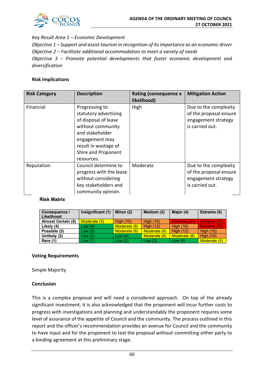

#### *Key Result Area 1 – Economic Development*

*Objective 1 – Support and assist tourism in recognition of its importance as an economic driver Objective 2 – Facilitate additional accommodation to meet a variety of needs Objective 3 – Promote potential developments that foster economic development and diversification*

#### **Risk Implications**

| <b>Risk Category</b> | <b>Description</b>                                                                                                                                                                     | <b>Rating (consequence x</b><br>likelihood) | <b>Mitigation Action</b>                                                                  |
|----------------------|----------------------------------------------------------------------------------------------------------------------------------------------------------------------------------------|---------------------------------------------|-------------------------------------------------------------------------------------------|
| Financial            | Progressing to<br>statutory advertising<br>of disposal of lease<br>without community<br>and stakeholder<br>engagement may<br>result in wastage of<br>Shire and Proponent<br>resources. | High                                        | Due to the complexity<br>of the proposal ensure<br>engagement strategy<br>is carried out. |
| Reputation           | Council determine to<br>progress with the lease<br>without considering<br>key stakeholders and<br>community opinion.                                                                   | Moderate                                    | Due to the complexity<br>of the proposal ensure<br>engagement strategy<br>is carried out. |

#### **Risk Matrix**

| <b>Consequence /</b><br>Likelihood | Insignificant (1) | Minor (2)        | Medium (3)       | Major (4)        | Extreme (5)      |
|------------------------------------|-------------------|------------------|------------------|------------------|------------------|
| <b>Almost Certain (5)</b>          | Moderate (5)      | <b>High (10)</b> | <b>High (15)</b> | Extreme (20)     | Extreme (25)     |
| Likely (4)                         | Low (4)           | Moderate (8)     | <b>High (12)</b> | <b>High (16)</b> | Extreme (20)     |
| Possible (3)                       | Low (3)           | Moderate (6)     | Moderate (9)     | <b>High (12)</b> | <b>High (15)</b> |
| Unlikely (2)                       | Low (2)           | Low $(4)$        | Moderate (6)     | Moderate (8)     | <b>High (10)</b> |
| Rare (1)                           | Low (1)           | Low $(2)$        | Low $(3)$        | Low $(4)$        | Moderate (5)     |

#### **Voting Requirements**

Simple Majority

#### **Conclusion**

This is a complex proposal and will need a considered approach. On top of the already significant investment, it is also acknowledged that the proponent will incur further costs to progress with investigations and planning and understandably the proponent requires some level of assurance of the appetite of Council and the community. The process outlined in this report and the officer's recommendation provides an avenue for Council and the community to have input and for the proponent to test the proposal without committing either party to a binding agreement at this preliminary stage.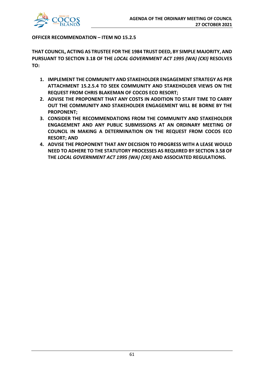

#### **OFFICER RECOMMENDATION – ITEM NO 15.2.5**

**THAT COUNCIL, ACTING AS TRUSTEE FOR THE 1984 TRUST DEED, BY SIMPLE MAJORITY, AND PURSUANT TO SECTION 3.18 OF THE** *LOCAL GOVERNMENT ACT 1995 (WA) (CKI)* **RESOLVES TO:**

- **1. IMPLEMENT THE COMMUNITY AND STAKEHOLDER ENGAGEMENT STRATEGY AS PER ATTACHMENT 15.2.5.4 TO SEEK COMMUNITY AND STAKEHOLDER VIEWS ON THE REQUEST FROM CHRIS BLAKEMAN OF COCOS ECO RESORT;**
- **2. ADVISE THE PROPONENT THAT ANY COSTS IN ADDITION TO STAFF TIME TO CARRY OUT THE COMMUNITY AND STAKEHOLDER ENGAGEMENT WILL BE BORNE BY THE PROPONENT;**
- **3. CONSIDER THE RECOMMENDATIONS FROM THE COMMUNITY AND STAKEHOLDER ENGAGEMENT AND ANY PUBLIC SUBMISSIONS AT AN ORDINARY MEETING OF COUNCIL IN MAKING A DETERMINATION ON THE REQUEST FROM COCOS ECO RESORT; AND**
- **4. ADVISE THE PROPONENT THAT ANY DECISION TO PROGRESS WITH A LEASE WOULD NEED TO ADHERE TO THE STATUTORY PROCESSES AS REQUIRED BY SECTION 3.58 OF THE** *LOCAL GOVERNMENT ACT 1995 (WA) (CKI)* **AND ASSOCIATED REGULATIONS.**